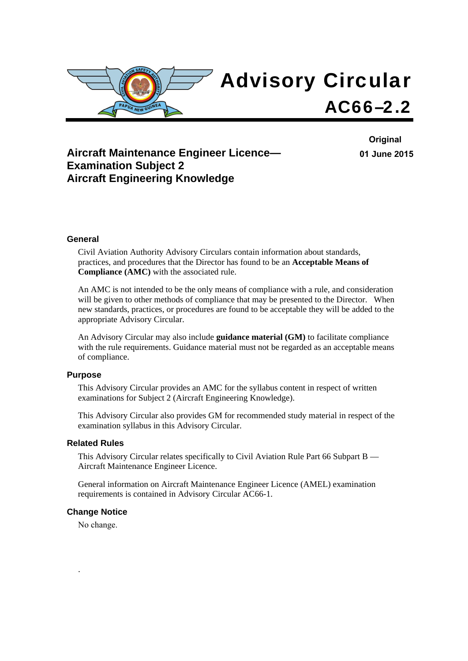

## **Aircraft Maintenance Engineer Licence— Examination Subject 2 Aircraft Engineering Knowledge**

**Original 01 June 2015**

#### **General**

Civil Aviation Authority Advisory Circulars contain information about standards, practices, and procedures that the Director has found to be an **Acceptable Means of Compliance (AMC)** with the associated rule.

An AMC is not intended to be the only means of compliance with a rule, and consideration will be given to other methods of compliance that may be presented to the Director. When new standards, practices, or procedures are found to be acceptable they will be added to the appropriate Advisory Circular.

An Advisory Circular may also include **guidance material (GM)** to facilitate compliance with the rule requirements. Guidance material must not be regarded as an acceptable means of compliance.

#### **Purpose**

This Advisory Circular provides an AMC for the syllabus content in respect of written examinations for Subject 2 (Aircraft Engineering Knowledge).

This Advisory Circular also provides GM for recommended study material in respect of the examination syllabus in this Advisory Circular.

#### **Related Rules**

This Advisory Circular relates specifically to Civil Aviation Rule Part 66 Subpart B — Aircraft Maintenance Engineer Licence.

General information on Aircraft Maintenance Engineer Licence (AMEL) examination requirements is contained in Advisory Circular AC66-1.

#### **Change Notice**

No change.

.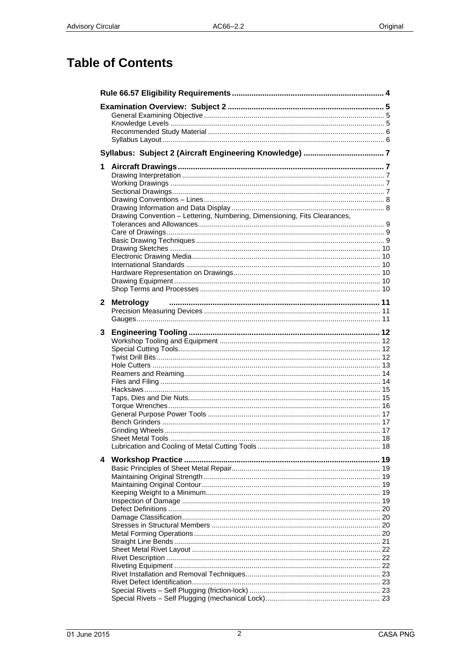# **Table of Contents**

| 1            |                                                                           |  |
|--------------|---------------------------------------------------------------------------|--|
|              |                                                                           |  |
|              |                                                                           |  |
|              |                                                                           |  |
|              |                                                                           |  |
|              | Drawing Convention - Lettering, Numbering, Dimensioning, Fits Clearances, |  |
|              |                                                                           |  |
|              |                                                                           |  |
|              |                                                                           |  |
|              |                                                                           |  |
|              |                                                                           |  |
|              |                                                                           |  |
|              |                                                                           |  |
|              |                                                                           |  |
|              |                                                                           |  |
| $\mathbf{2}$ | <b>Metrology</b>                                                          |  |
|              |                                                                           |  |
|              |                                                                           |  |
| 3            |                                                                           |  |
|              |                                                                           |  |
|              |                                                                           |  |
|              |                                                                           |  |
|              |                                                                           |  |
|              |                                                                           |  |
|              |                                                                           |  |
|              |                                                                           |  |
|              |                                                                           |  |
|              |                                                                           |  |
|              |                                                                           |  |
|              |                                                                           |  |
|              |                                                                           |  |
| 4            |                                                                           |  |
|              |                                                                           |  |
|              |                                                                           |  |
|              |                                                                           |  |
|              |                                                                           |  |
|              |                                                                           |  |
|              |                                                                           |  |
|              |                                                                           |  |
|              |                                                                           |  |
|              |                                                                           |  |
|              |                                                                           |  |
|              |                                                                           |  |
|              |                                                                           |  |
|              |                                                                           |  |
|              |                                                                           |  |
|              |                                                                           |  |
|              |                                                                           |  |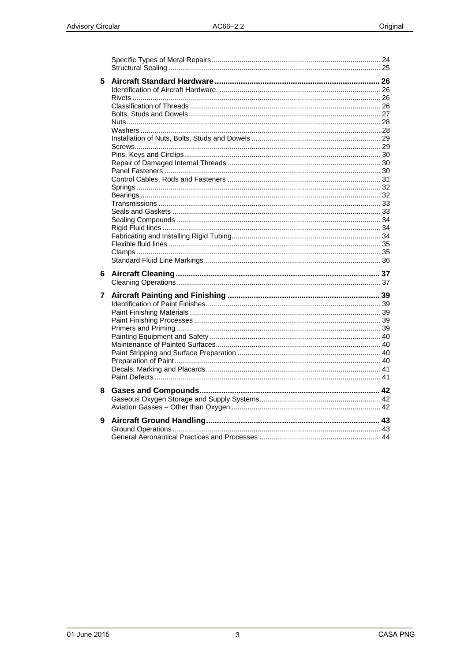| 5 |  |
|---|--|
| 6 |  |
| 7 |  |
| 8 |  |
|   |  |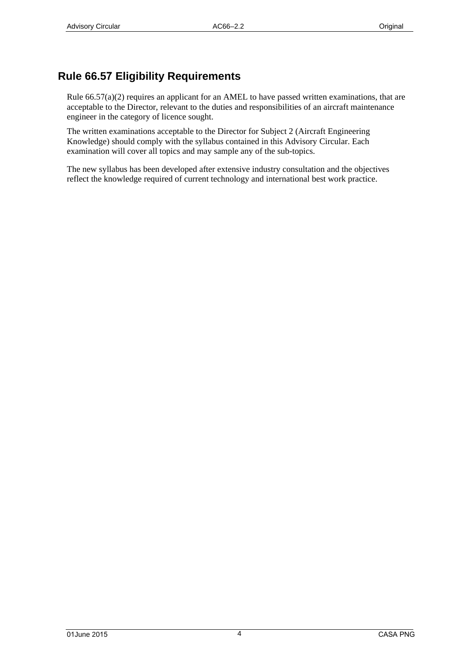## <span id="page-3-0"></span>**Rule 66.57 Eligibility Requirements**

Rule 66.57(a)(2) requires an applicant for an AMEL to have passed written examinations, that are acceptable to the Director, relevant to the duties and responsibilities of an aircraft maintenance engineer in the category of licence sought.

The written examinations acceptable to the Director for Subject 2 (Aircraft Engineering Knowledge) should comply with the syllabus contained in this Advisory Circular. Each examination will cover all topics and may sample any of the sub-topics.

The new syllabus has been developed after extensive industry consultation and the objectives reflect the knowledge required of current technology and international best work practice.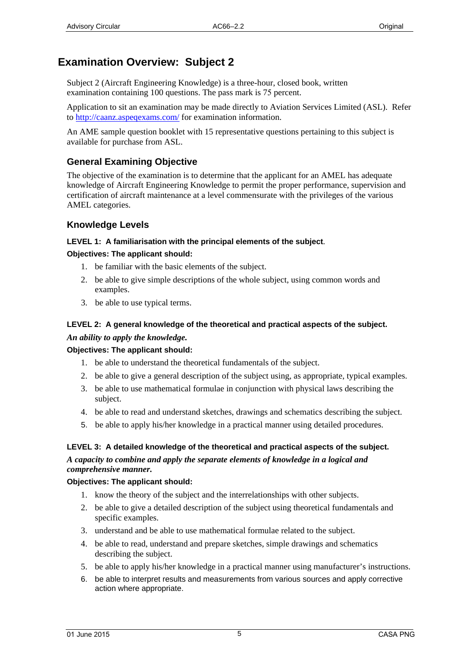## <span id="page-4-0"></span>**Examination Overview: Subject 2**

Subject 2 (Aircraft Engineering Knowledge) is a three-hour, closed book, written examination containing 100 questions. The pass mark is 75 percent.

Application to sit an examination may be made directly to Aviation Services Limited (ASL). Refer to [http://caanz.aspeqex](http://www.aviation.co.nz/)ams.com/ for examination information.

An AME sample question booklet with 15 representative questions pertaining to this subject is available for purchase from ASL.

## **General Examining Objective**

The objective of the examination is to determine that the applicant for an AMEL has adequate knowledge of Aircraft Engineering Knowledge to permit the proper performance, supervision and certification of aircraft maintenance at a level commensurate with the privileges of the various AMEL categories.

### **Knowledge Levels**

#### **LEVEL 1: A familiarisation with the principal elements of the subject***.*

#### **Objectives: The applicant should:**

- 1. be familiar with the basic elements of the subject.
- 2. be able to give simple descriptions of the whole subject, using common words and examples.
- 3. be able to use typical terms.

### **LEVEL 2: A general knowledge of the theoretical and practical aspects of the subject.**  *An ability to apply the knowledge.*

#### **Objectives: The applicant should:**

- 1. be able to understand the theoretical fundamentals of the subject.
- 2. be able to give a general description of the subject using, as appropriate, typical examples.
- 3. be able to use mathematical formulae in conjunction with physical laws describing the subject.
- 4. be able to read and understand sketches, drawings and schematics describing the subject.
- 5. be able to apply his/her knowledge in a practical manner using detailed procedures.

#### **LEVEL 3: A detailed knowledge of the theoretical and practical aspects of the subject.**

*A capacity to combine and apply the separate elements of knowledge in a logical and comprehensive manner.*

#### **Objectives: The applicant should:**

- 1. know the theory of the subject and the interrelationships with other subjects.
- 2. be able to give a detailed description of the subject using theoretical fundamentals and specific examples.
- 3. understand and be able to use mathematical formulae related to the subject.
- 4. be able to read, understand and prepare sketches, simple drawings and schematics describing the subject.
- 5. be able to apply his/her knowledge in a practical manner using manufacturer's instructions.
- 6. be able to interpret results and measurements from various sources and apply corrective action where appropriate.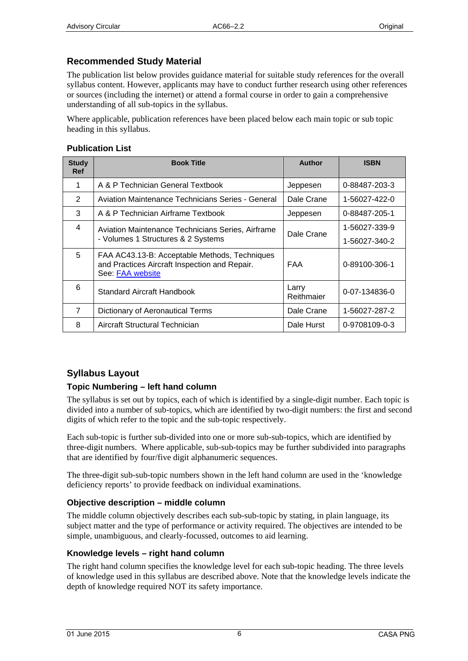## <span id="page-5-0"></span>**Recommended Study Material**

The publication list below provides guidance material for suitable study references for the overall syllabus content. However, applicants may have to conduct further research using other references or sources (including the internet) or attend a formal course in order to gain a comprehensive understanding of all sub-topics in the syllabus.

Where applicable, publication references have been placed below each main topic or sub topic heading in this syllabus.

#### **Publication List**

| <b>Study</b><br><b>Ref</b> | <b>Book Title</b>                                                                                                  | Author              | <b>ISBN</b>   |
|----------------------------|--------------------------------------------------------------------------------------------------------------------|---------------------|---------------|
| 1                          | A & P Technician General Textbook                                                                                  | Jeppesen            | 0-88487-203-3 |
| 2                          | Aviation Maintenance Technicians Series - General                                                                  | Dale Crane          | 1-56027-422-0 |
| 3                          | A & P Technician Airframe Textbook                                                                                 | Jeppesen            | 0-88487-205-1 |
| 4                          | Aviation Maintenance Technicians Series, Airframe                                                                  | Dale Crane          | 1-56027-339-9 |
|                            | - Volumes 1 Structures & 2 Systems                                                                                 |                     | 1-56027-340-2 |
| 5                          | FAA AC43.13-B: Acceptable Methods, Techniques<br>and Practices Aircraft Inspection and Repair.<br>See: FAA website | FAA                 | 0-89100-306-1 |
| 6                          | Standard Aircraft Handbook                                                                                         | Larry<br>Reithmaier | 0-07-134836-0 |
| $\overline{7}$             | Dictionary of Aeronautical Terms                                                                                   | Dale Crane          | 1-56027-287-2 |
| 8                          | Aircraft Structural Technician                                                                                     | Dale Hurst          | 0-9708109-0-3 |

### **Syllabus Layout**

#### **Topic Numbering – left hand column**

The syllabus is set out by topics, each of which is identified by a single-digit number. Each topic is divided into a number of sub-topics, which are identified by two-digit numbers: the first and second digits of which refer to the topic and the sub-topic respectively.

Each sub-topic is further sub-divided into one or more sub-sub-topics, which are identified by three-digit numbers. Where applicable, sub-sub-topics may be further subdivided into paragraphs that are identified by four/five digit alphanumeric sequences.

The three-digit sub-sub-topic numbers shown in the left hand column are used in the 'knowledge deficiency reports' to provide feedback on individual examinations.

#### **Objective description – middle column**

The middle column objectively describes each sub-sub-topic by stating, in plain language, its subject matter and the type of performance or activity required. The objectives are intended to be simple, unambiguous, and clearly-focussed, outcomes to aid learning.

#### **Knowledge levels – right hand column**

The right hand column specifies the knowledge level for each sub-topic heading. The three levels of knowledge used in this syllabus are described above. Note that the knowledge levels indicate the depth of knowledge required NOT its safety importance.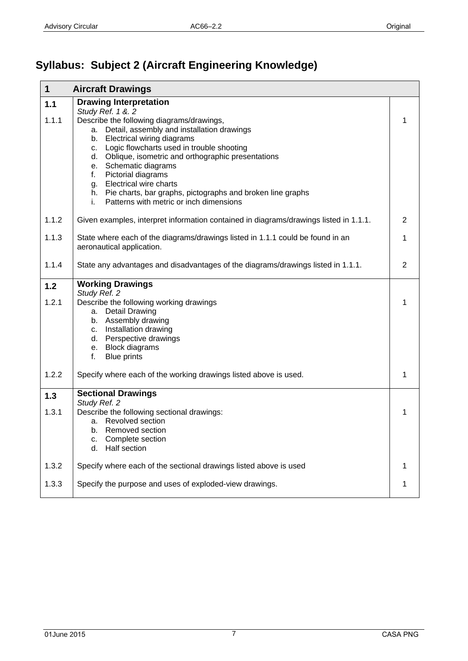# <span id="page-6-0"></span>**Syllabus: Subject 2 (Aircraft Engineering Knowledge)**

| $\mathbf 1$    | <b>Aircraft Drawings</b>                                                                                                                                                                                                                                                                                                                                                                                                                                                           |                |
|----------------|------------------------------------------------------------------------------------------------------------------------------------------------------------------------------------------------------------------------------------------------------------------------------------------------------------------------------------------------------------------------------------------------------------------------------------------------------------------------------------|----------------|
| $1.1$          | <b>Drawing Interpretation</b>                                                                                                                                                                                                                                                                                                                                                                                                                                                      |                |
| 1.1.1          | Study Ref. 1 &. 2<br>Describe the following diagrams/drawings,<br>Detail, assembly and installation drawings<br>а.<br>Electrical wiring diagrams<br>b.<br>Logic flowcharts used in trouble shooting<br>C.<br>Oblique, isometric and orthographic presentations<br>d.<br>e. Schematic diagrams<br>Pictorial diagrams<br>f.<br><b>Electrical wire charts</b><br>g.<br>h. Pie charts, bar graphs, pictographs and broken line graphs<br>i.<br>Patterns with metric or inch dimensions | 1              |
| 1.1.2          | Given examples, interpret information contained in diagrams/drawings listed in 1.1.1.                                                                                                                                                                                                                                                                                                                                                                                              | $\overline{2}$ |
| 1.1.3          | State where each of the diagrams/drawings listed in 1.1.1 could be found in an<br>aeronautical application.                                                                                                                                                                                                                                                                                                                                                                        | $\mathbf{1}$   |
| 1.1.4          | State any advantages and disadvantages of the diagrams/drawings listed in 1.1.1.                                                                                                                                                                                                                                                                                                                                                                                                   | $\overline{2}$ |
| 1.2            | <b>Working Drawings</b><br>Study Ref. 2                                                                                                                                                                                                                                                                                                                                                                                                                                            |                |
| 1.2.1          | Describe the following working drawings<br>a. Detail Drawing<br>b. Assembly drawing<br>c. Installation drawing<br>d. Perspective drawings<br>e. Block diagrams<br>f.<br><b>Blue prints</b>                                                                                                                                                                                                                                                                                         | 1              |
| 1.2.2          | Specify where each of the working drawings listed above is used.                                                                                                                                                                                                                                                                                                                                                                                                                   | 1              |
| $1.3$<br>1.3.1 | <b>Sectional Drawings</b><br>Study Ref. 2<br>Describe the following sectional drawings:<br>a. Revolved section<br>b. Removed section<br>Complete section<br>c.<br>Half section<br>d.                                                                                                                                                                                                                                                                                               | 1              |
| 1.3.2          | Specify where each of the sectional drawings listed above is used                                                                                                                                                                                                                                                                                                                                                                                                                  | 1              |
| 1.3.3          | Specify the purpose and uses of exploded-view drawings.                                                                                                                                                                                                                                                                                                                                                                                                                            | 1              |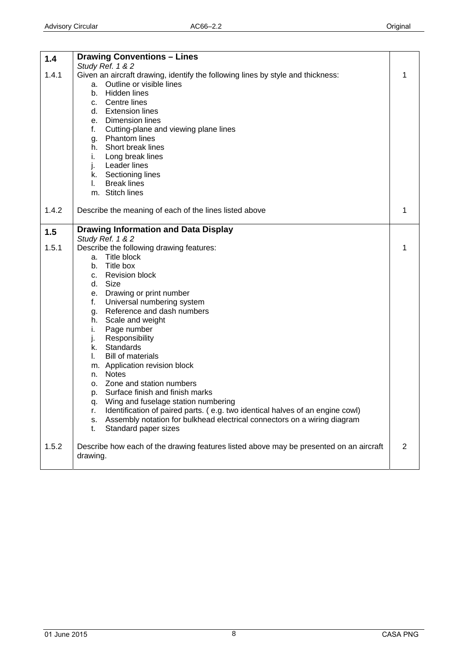<span id="page-7-0"></span>

| 1.4          | <b>Drawing Conventions - Lines</b><br>Study Ref. 1 & 2                                                                                                                                                                                                                                                                                                                                                                                                                                                                                                                                                                                                                                                                                                                                             |   |
|--------------|----------------------------------------------------------------------------------------------------------------------------------------------------------------------------------------------------------------------------------------------------------------------------------------------------------------------------------------------------------------------------------------------------------------------------------------------------------------------------------------------------------------------------------------------------------------------------------------------------------------------------------------------------------------------------------------------------------------------------------------------------------------------------------------------------|---|
| 1.4.1        | Given an aircraft drawing, identify the following lines by style and thickness:<br>Outline or visible lines<br>a.<br>Hidden lines<br>b.<br>c. Centre lines<br>d. Extension lines<br>e. Dimension lines<br>f.<br>Cutting-plane and viewing plane lines<br>g. Phantom lines<br>h. Short break lines<br>Long break lines<br>i.<br>Leader lines<br>j.<br>k. Sectioning lines<br><b>Break lines</b><br>L.<br>m. Stitch lines                                                                                                                                                                                                                                                                                                                                                                            |   |
| 1.4.2        | Describe the meaning of each of the lines listed above                                                                                                                                                                                                                                                                                                                                                                                                                                                                                                                                                                                                                                                                                                                                             |   |
| 1.5<br>1.5.1 | <b>Drawing Information and Data Display</b><br>Study Ref. 1 & 2<br>Describe the following drawing features:<br>Title block<br>a.<br>b. Title box<br><b>Revision block</b><br>C.<br>Size<br>d.<br>e. Drawing or print number<br>Universal numbering system<br>f.<br>Reference and dash numbers<br>g.<br>h. Scale and weight<br>Page number<br>i.<br>j.<br>Responsibility<br>k. Standards<br><b>Bill of materials</b><br>L.<br>m. Application revision block<br>n. Notes<br>o. Zone and station numbers<br>Surface finish and finish marks<br>р.<br>Wing and fuselage station numbering<br>q.<br>Identification of paired parts. (e.g. two identical halves of an engine cowl)<br>r.<br>Assembly notation for bulkhead electrical connectors on a wiring diagram<br>s.<br>Standard paper sizes<br>t. |   |
| 1.5.2        | Describe how each of the drawing features listed above may be presented on an aircraft<br>drawing.                                                                                                                                                                                                                                                                                                                                                                                                                                                                                                                                                                                                                                                                                                 | 2 |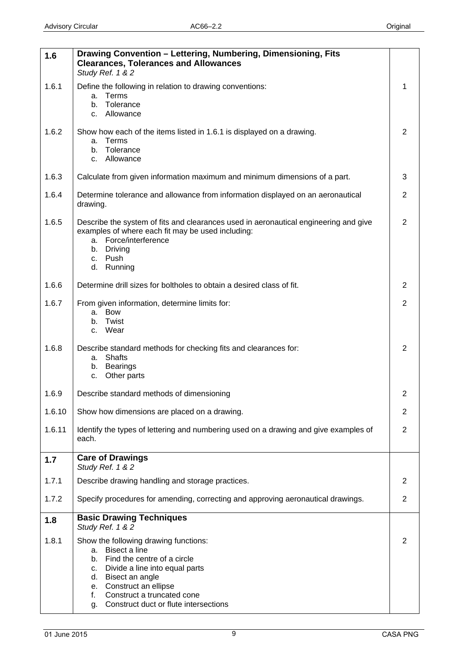<span id="page-8-0"></span>

| 1.6    | Drawing Convention - Lettering, Numbering, Dimensioning, Fits<br><b>Clearances, Tolerances and Allowances</b><br>Study Ref. 1 & 2                                                                                                                                                |                |
|--------|----------------------------------------------------------------------------------------------------------------------------------------------------------------------------------------------------------------------------------------------------------------------------------|----------------|
| 1.6.1  | Define the following in relation to drawing conventions:<br>Terms<br>a.<br>Tolerance<br>b.<br>Allowance<br>C.                                                                                                                                                                    | 1              |
| 1.6.2  | Show how each of the items listed in 1.6.1 is displayed on a drawing.<br>a. Terms<br>b. Tolerance<br>c. Allowance                                                                                                                                                                | $\overline{2}$ |
| 1.6.3  | Calculate from given information maximum and minimum dimensions of a part.                                                                                                                                                                                                       | 3              |
| 1.6.4  | Determine tolerance and allowance from information displayed on an aeronautical<br>drawing.                                                                                                                                                                                      | $\overline{2}$ |
| 1.6.5  | Describe the system of fits and clearances used in aeronautical engineering and give<br>examples of where each fit may be used including:<br>a. Force/interference<br>b. Driving<br>Push<br>C.<br>d.<br>Running                                                                  | $\overline{2}$ |
| 1.6.6  | Determine drill sizes for boltholes to obtain a desired class of fit.                                                                                                                                                                                                            | 2              |
| 1.6.7  | From given information, determine limits for:<br>a. Bow<br>Twist<br>b.<br>Wear<br>C.                                                                                                                                                                                             | $\overline{2}$ |
| 1.6.8  | Describe standard methods for checking fits and clearances for:<br>a. Shafts<br><b>Bearings</b><br>b.<br>Other parts<br>C.                                                                                                                                                       | $\overline{2}$ |
| 1.6.9  | Describe standard methods of dimensioning                                                                                                                                                                                                                                        | 2              |
| 1.6.10 | Show how dimensions are placed on a drawing.                                                                                                                                                                                                                                     | $\overline{2}$ |
| 1.6.11 | Identify the types of lettering and numbering used on a drawing and give examples of<br>each.                                                                                                                                                                                    | $\overline{2}$ |
| 1.7    | <b>Care of Drawings</b><br>Study Ref. 1 & 2                                                                                                                                                                                                                                      |                |
| 1.7.1  | Describe drawing handling and storage practices.                                                                                                                                                                                                                                 | $\overline{2}$ |
| 1.7.2  | Specify procedures for amending, correcting and approving aeronautical drawings.                                                                                                                                                                                                 | $\overline{2}$ |
| 1.8    | <b>Basic Drawing Techniques</b><br>Study Ref. 1 & 2                                                                                                                                                                                                                              |                |
| 1.8.1  | Show the following drawing functions:<br>Bisect a line<br>a.<br>Find the centre of a circle<br>b.<br>Divide a line into equal parts<br>C.<br>Bisect an angle<br>d.<br>e. Construct an ellipse<br>Construct a truncated cone<br>f.<br>Construct duct or flute intersections<br>g. | 2              |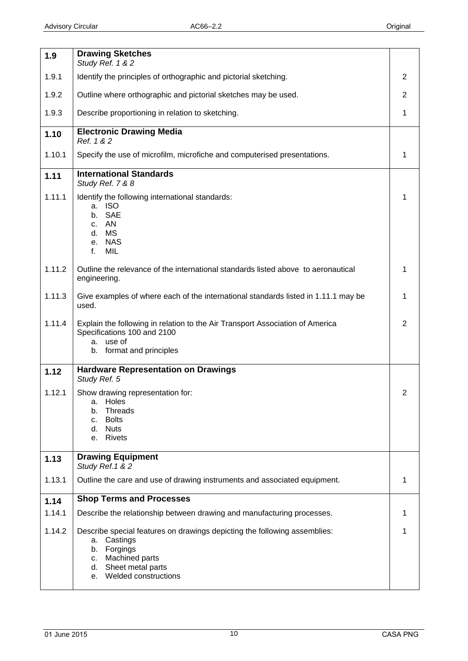<span id="page-9-0"></span>

|        | <b>Drawing Sketches</b>                                                                                                                                                                     |   |
|--------|---------------------------------------------------------------------------------------------------------------------------------------------------------------------------------------------|---|
| 1.9    | Study Ref. 1 & 2                                                                                                                                                                            |   |
| 1.9.1  | Identify the principles of orthographic and pictorial sketching.                                                                                                                            | 2 |
| 1.9.2  | Outline where orthographic and pictorial sketches may be used.                                                                                                                              | 2 |
| 1.9.3  | Describe proportioning in relation to sketching.                                                                                                                                            | 1 |
| 1.10   | <b>Electronic Drawing Media</b><br>Ref. 1 & 2                                                                                                                                               |   |
| 1.10.1 | Specify the use of microfilm, microfiche and computerised presentations.                                                                                                                    | 1 |
| 1.11   | <b>International Standards</b><br>Study Ref. 7 & 8                                                                                                                                          |   |
| 1.11.1 | Identify the following international standards:<br><b>ISO</b><br>a.<br><b>SAE</b><br>b.<br>AN<br>C.<br><b>MS</b><br>d.<br><b>NAS</b><br>е.<br>MIL<br>f.                                     | 1 |
| 1.11.2 | Outline the relevance of the international standards listed above to aeronautical<br>engineering.                                                                                           | 1 |
| 1.11.3 | Give examples of where each of the international standards listed in 1.11.1 may be<br>used.                                                                                                 | 1 |
| 1.11.4 | Explain the following in relation to the Air Transport Association of America<br>Specifications 100 and 2100<br>use of<br>a.<br>format and principles<br>b.                                 | 2 |
| 1.12   | <b>Hardware Representation on Drawings</b><br>Study Ref. 5                                                                                                                                  |   |
| 1.12.1 | Show drawing representation for:<br>Holes<br>a.<br><b>Threads</b><br>b.<br><b>Bolts</b><br>c.<br><b>Nuts</b><br>d.<br><b>Rivets</b><br>е.                                                   | 2 |
| 1.13   | <b>Drawing Equipment</b><br>Study Ref. 1 & 2                                                                                                                                                |   |
| 1.13.1 | Outline the care and use of drawing instruments and associated equipment.                                                                                                                   | 1 |
| 1.14   | <b>Shop Terms and Processes</b>                                                                                                                                                             |   |
| 1.14.1 | Describe the relationship between drawing and manufacturing processes.                                                                                                                      | 1 |
| 1.14.2 | Describe special features on drawings depicting the following assemblies:<br>Castings<br>a.<br>Forgings<br>b.<br>Machined parts<br>C.<br>d. Sheet metal parts<br>Welded constructions<br>e. | 1 |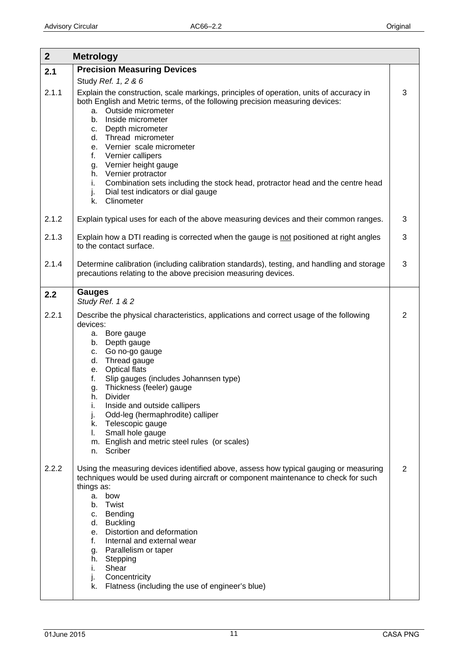<span id="page-10-0"></span>

| 2 <sup>2</sup> | <b>Metrology</b>                                                                                                                                                                                                                                                                                                                                                                                                                                                                                                                                 |                |
|----------------|--------------------------------------------------------------------------------------------------------------------------------------------------------------------------------------------------------------------------------------------------------------------------------------------------------------------------------------------------------------------------------------------------------------------------------------------------------------------------------------------------------------------------------------------------|----------------|
| 2.1            | <b>Precision Measuring Devices</b>                                                                                                                                                                                                                                                                                                                                                                                                                                                                                                               |                |
|                | Study Ref. 1, 2 & 6                                                                                                                                                                                                                                                                                                                                                                                                                                                                                                                              |                |
| 2.1.1          | Explain the construction, scale markings, principles of operation, units of accuracy in<br>both English and Metric terms, of the following precision measuring devices:<br>Outside micrometer<br>a.<br>b. Inside micrometer<br>c. Depth micrometer<br>d. Thread micrometer<br>e. Vernier scale micrometer<br>f.<br>Vernier callipers<br>g. Vernier height gauge<br>h. Vernier protractor<br>Combination sets including the stock head, protractor head and the centre head<br>i.<br>Dial test indicators or dial gauge<br>j.<br>Clinometer<br>k. | 3              |
| 2.1.2          | Explain typical uses for each of the above measuring devices and their common ranges.                                                                                                                                                                                                                                                                                                                                                                                                                                                            | $\mathbf{3}$   |
| 2.1.3          | Explain how a DTI reading is corrected when the gauge is not positioned at right angles<br>to the contact surface.                                                                                                                                                                                                                                                                                                                                                                                                                               | 3              |
| 2.1.4          | Determine calibration (including calibration standards), testing, and handling and storage<br>precautions relating to the above precision measuring devices.                                                                                                                                                                                                                                                                                                                                                                                     | 3              |
| 2.2            | <b>Gauges</b><br>Study Ref. 1 & 2                                                                                                                                                                                                                                                                                                                                                                                                                                                                                                                |                |
| 2.2.1          | Describe the physical characteristics, applications and correct usage of the following<br>devices:<br>a. Bore gauge<br>b. Depth gauge<br>Go no-go gauge<br>C.<br>Thread gauge<br>d.<br>e. Optical flats<br>Slip gauges (includes Johannsen type)<br>f.<br>Thickness (feeler) gauge<br>g.<br>Divider<br>h.<br>Inside and outside callipers<br>i.<br>Odd-leg (hermaphrodite) calliper<br>j.<br>Telescopic gauge<br>k.<br>Small hole gauge<br>L.<br>m. English and metric steel rules (or scales)<br>Scriber<br>n.                                  | $\overline{2}$ |
| 2.2.2          | Using the measuring devices identified above, assess how typical gauging or measuring<br>techniques would be used during aircraft or component maintenance to check for such<br>things as:<br>a.<br>bow<br>Twist<br>b.<br>c. Bending<br>d. Buckling<br>Distortion and deformation<br>e.<br>Internal and external wear<br>f.<br>Parallelism or taper<br>g.<br>Stepping<br>h.<br>Shear<br>i.<br>Concentricity<br>j.<br>Flatness (including the use of engineer's blue)<br>k.                                                                       | $\overline{2}$ |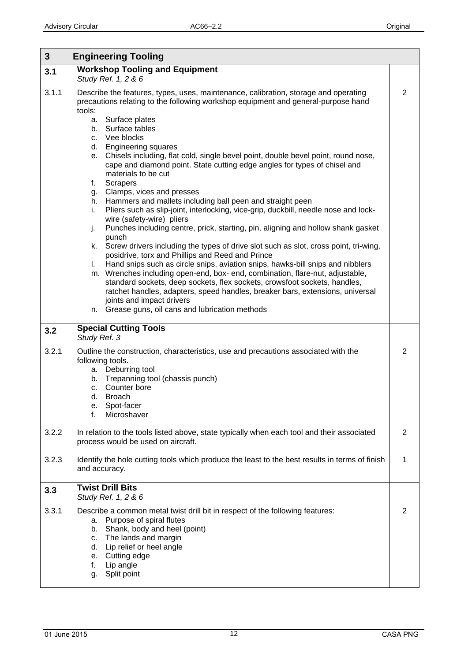<span id="page-11-0"></span>

| $3\phantom{a}$ | <b>Engineering Tooling</b>                                                                                                                                                                                                                                                                                                                                                                                                                                                                                                                                                                                                                                                                                                                                                                                                                                                                                                                                                                                                                                                                                                                                                                                                                                                                                                                                                                                          |                |
|----------------|---------------------------------------------------------------------------------------------------------------------------------------------------------------------------------------------------------------------------------------------------------------------------------------------------------------------------------------------------------------------------------------------------------------------------------------------------------------------------------------------------------------------------------------------------------------------------------------------------------------------------------------------------------------------------------------------------------------------------------------------------------------------------------------------------------------------------------------------------------------------------------------------------------------------------------------------------------------------------------------------------------------------------------------------------------------------------------------------------------------------------------------------------------------------------------------------------------------------------------------------------------------------------------------------------------------------------------------------------------------------------------------------------------------------|----------------|
| 3.1            | <b>Workshop Tooling and Equipment</b><br>Study Ref. 1, 2 & 6                                                                                                                                                                                                                                                                                                                                                                                                                                                                                                                                                                                                                                                                                                                                                                                                                                                                                                                                                                                                                                                                                                                                                                                                                                                                                                                                                        |                |
| 3.1.1          | Describe the features, types, uses, maintenance, calibration, storage and operating<br>precautions relating to the following workshop equipment and general-purpose hand<br>tools:<br>a. Surface plates<br>b. Surface tables<br>c. Vee blocks<br>d. Engineering squares<br>e. Chisels including, flat cold, single bevel point, double bevel point, round nose,<br>cape and diamond point. State cutting edge angles for types of chisel and<br>materials to be cut<br><b>Scrapers</b><br>f.<br>Clamps, vices and presses<br>g.<br>h. Hammers and mallets including ball peen and straight peen<br>Pliers such as slip-joint, interlocking, vice-grip, duckbill, needle nose and lock-<br>i.<br>wire (safety-wire) pliers<br>Punches including centre, prick, starting, pin, aligning and hollow shank gasket<br>j.<br>punch<br>Screw drivers including the types of drive slot such as slot, cross point, tri-wing,<br>k.<br>posidrive, torx and Phillips and Reed and Prince<br>Hand snips such as circle snips, aviation snips, hawks-bill snips and nibblers<br>$\mathbf{L}$<br>m. Wrenches including open-end, box- end, combination, flare-nut, adjustable,<br>standard sockets, deep sockets, flex sockets, crowsfoot sockets, handles,<br>ratchet handles, adapters, speed handles, breaker bars, extensions, universal<br>joints and impact drivers<br>Grease guns, oil cans and lubrication methods<br>n. | $\overline{2}$ |
| 3.2            | <b>Special Cutting Tools</b><br>Study Ref. 3                                                                                                                                                                                                                                                                                                                                                                                                                                                                                                                                                                                                                                                                                                                                                                                                                                                                                                                                                                                                                                                                                                                                                                                                                                                                                                                                                                        |                |
| 3.2.1          | Outline the construction, characteristics, use and precautions associated with the<br>following tools.<br>a. Deburring tool<br>b. Trepanning tool (chassis punch)<br>c. Counter bore<br>d. Broach<br>Spot-facer<br>е.<br>Microshaver<br>f.                                                                                                                                                                                                                                                                                                                                                                                                                                                                                                                                                                                                                                                                                                                                                                                                                                                                                                                                                                                                                                                                                                                                                                          | 2              |
| 3.2.2          | In relation to the tools listed above, state typically when each tool and their associated<br>process would be used on aircraft.                                                                                                                                                                                                                                                                                                                                                                                                                                                                                                                                                                                                                                                                                                                                                                                                                                                                                                                                                                                                                                                                                                                                                                                                                                                                                    | $\overline{2}$ |
| 3.2.3          | Identify the hole cutting tools which produce the least to the best results in terms of finish<br>and accuracy.                                                                                                                                                                                                                                                                                                                                                                                                                                                                                                                                                                                                                                                                                                                                                                                                                                                                                                                                                                                                                                                                                                                                                                                                                                                                                                     | 1              |
| 3.3            | <b>Twist Drill Bits</b><br>Study Ref. 1, 2 & 6                                                                                                                                                                                                                                                                                                                                                                                                                                                                                                                                                                                                                                                                                                                                                                                                                                                                                                                                                                                                                                                                                                                                                                                                                                                                                                                                                                      |                |
| 3.3.1          | Describe a common metal twist drill bit in respect of the following features:<br>a. Purpose of spiral flutes<br>b. Shank, body and heel (point)<br>The lands and margin<br>c.<br>Lip relief or heel angle<br>d.<br>Cutting edge<br>е.<br>Lip angle<br>f.<br>Split point<br>g.                                                                                                                                                                                                                                                                                                                                                                                                                                                                                                                                                                                                                                                                                                                                                                                                                                                                                                                                                                                                                                                                                                                                       | 2              |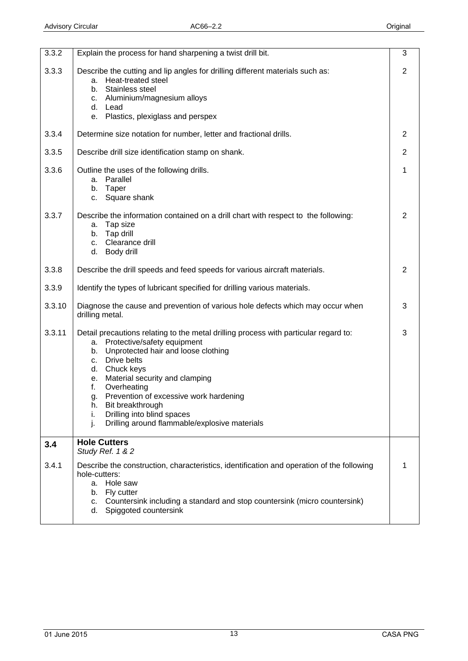<span id="page-12-0"></span>

| 3.3.2  | Explain the process for hand sharpening a twist drill bit.                                                                                                                                                                                                                                                                                                                                                                               | 3              |
|--------|------------------------------------------------------------------------------------------------------------------------------------------------------------------------------------------------------------------------------------------------------------------------------------------------------------------------------------------------------------------------------------------------------------------------------------------|----------------|
| 3.3.3  | Describe the cutting and lip angles for drilling different materials such as:<br>a. Heat-treated steel<br>Stainless steel<br>b.<br>Aluminium/magnesium alloys<br>C.<br>d. Lead<br>Plastics, plexiglass and perspex<br>e.                                                                                                                                                                                                                 | $\overline{2}$ |
| 3.3.4  | Determine size notation for number, letter and fractional drills.                                                                                                                                                                                                                                                                                                                                                                        | 2              |
| 3.3.5  | Describe drill size identification stamp on shank.                                                                                                                                                                                                                                                                                                                                                                                       | 2              |
| 3.3.6  | Outline the uses of the following drills.<br>Parallel<br>а.<br>Taper<br>b.<br>Square shank<br>C.                                                                                                                                                                                                                                                                                                                                         | 1              |
| 3.3.7  | Describe the information contained on a drill chart with respect to the following:<br>Tap size<br>a.<br>b. Tap drill<br>Clearance drill<br>C <sub>1</sub><br>d.<br>Body drill                                                                                                                                                                                                                                                            | 2              |
| 3.3.8  | Describe the drill speeds and feed speeds for various aircraft materials.                                                                                                                                                                                                                                                                                                                                                                | 2              |
| 3.3.9  | Identify the types of lubricant specified for drilling various materials.                                                                                                                                                                                                                                                                                                                                                                |                |
| 3.3.10 | Diagnose the cause and prevention of various hole defects which may occur when<br>drilling metal.                                                                                                                                                                                                                                                                                                                                        | 3              |
| 3.3.11 | Detail precautions relating to the metal drilling process with particular regard to:<br>Protective/safety equipment<br>а.<br>Unprotected hair and loose clothing<br>b.<br>Drive belts<br>C.<br>d. Chuck keys<br>Material security and clamping<br>е.<br>Overheating<br>f.<br>Prevention of excessive work hardening<br>Bit breakthrough<br>h.<br>Drilling into blind spaces<br>i.<br>j.<br>Drilling around flammable/explosive materials | 3              |
| 3.4    | <b>Hole Cutters</b><br>Study Ref. 1 & 2                                                                                                                                                                                                                                                                                                                                                                                                  |                |
| 3.4.1  | Describe the construction, characteristics, identification and operation of the following<br>hole-cutters:<br>Hole saw<br>а.<br>Fly cutter<br>b.<br>Countersink including a standard and stop countersink (micro countersink)<br>C.<br>Spiggoted countersink<br>d.                                                                                                                                                                       | 1              |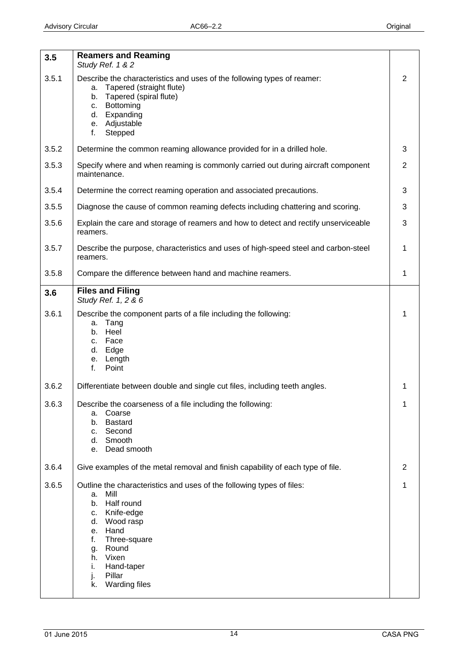<span id="page-13-0"></span>

| 3.5   | <b>Reamers and Reaming</b><br>Study Ref. 1 & 2                                                                                                                                                                                                                                     |                |
|-------|------------------------------------------------------------------------------------------------------------------------------------------------------------------------------------------------------------------------------------------------------------------------------------|----------------|
| 3.5.1 | Describe the characteristics and uses of the following types of reamer:<br>Tapered (straight flute)<br>a.<br>Tapered (spiral flute)<br>b.<br>Bottoming<br>C.<br>Expanding<br>d.<br>e. Adjustable<br>f.<br>Stepped                                                                  | 2              |
| 3.5.2 | Determine the common reaming allowance provided for in a drilled hole.                                                                                                                                                                                                             | 3              |
| 3.5.3 | Specify where and when reaming is commonly carried out during aircraft component<br>maintenance.                                                                                                                                                                                   | $\overline{2}$ |
| 3.5.4 | Determine the correct reaming operation and associated precautions.                                                                                                                                                                                                                | 3              |
| 3.5.5 | Diagnose the cause of common reaming defects including chattering and scoring.                                                                                                                                                                                                     | 3              |
| 3.5.6 | Explain the care and storage of reamers and how to detect and rectify unserviceable<br>reamers.                                                                                                                                                                                    | 3              |
| 3.5.7 | Describe the purpose, characteristics and uses of high-speed steel and carbon-steel<br>reamers.                                                                                                                                                                                    | 1              |
| 3.5.8 | Compare the difference between hand and machine reamers.                                                                                                                                                                                                                           | 1              |
| 3.6   | <b>Files and Filing</b><br>Study Ref. 1, 2 & 6                                                                                                                                                                                                                                     |                |
| 3.6.1 | Describe the component parts of a file including the following:<br>Tang<br>a.<br>b. Heel<br>Face<br>$C_{1}$<br>d. Edge<br>e. Length<br>f.<br>Point                                                                                                                                 | 1              |
| 3.6.2 | Differentiate between double and single cut files, including teeth angles.                                                                                                                                                                                                         | 1              |
| 3.6.3 | Describe the coarseness of a file including the following:<br>Coarse<br>а.<br><b>Bastard</b><br>b.<br>Second<br>c.<br>Smooth<br>d.<br>Dead smooth<br>е.                                                                                                                            | 1              |
| 3.6.4 | Give examples of the metal removal and finish capability of each type of file.                                                                                                                                                                                                     | 2              |
| 3.6.5 | Outline the characteristics and uses of the following types of files:<br>Mill<br>а.<br>Half round<br>b.<br>Knife-edge<br>c.<br>Wood rasp<br>d.<br>Hand<br>е.<br>f.<br>Three-square<br>Round<br>g.<br>Vixen<br>h.<br>Hand-taper<br>i.<br>j.<br>Pillar<br><b>Warding files</b><br>k. | 1              |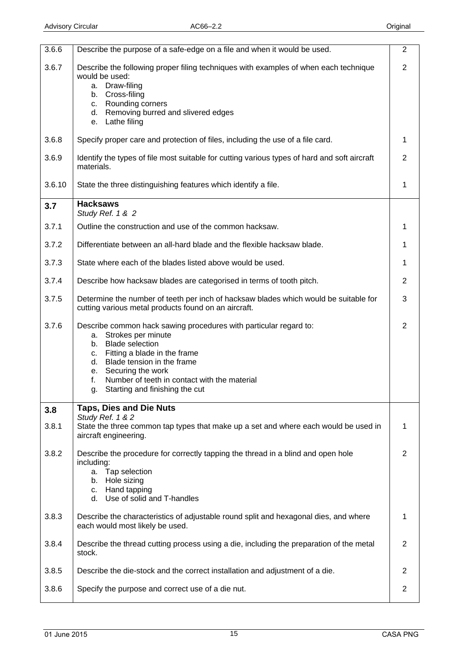<span id="page-14-0"></span>

| 3.6.6  | Describe the purpose of a safe-edge on a file and when it would be used.                                                                                                                                                                                                                                                      | $\overline{2}$ |
|--------|-------------------------------------------------------------------------------------------------------------------------------------------------------------------------------------------------------------------------------------------------------------------------------------------------------------------------------|----------------|
| 3.6.7  | Describe the following proper filing techniques with examples of when each technique<br>would be used:<br>a. Draw-filing<br>b. Cross-filing<br>Rounding corners<br>C.<br>d. Removing burred and slivered edges<br>e. Lathe filing                                                                                             | $\overline{2}$ |
| 3.6.8  | Specify proper care and protection of files, including the use of a file card.                                                                                                                                                                                                                                                | $\mathbf{1}$   |
| 3.6.9  | Identify the types of file most suitable for cutting various types of hard and soft aircraft<br>materials.                                                                                                                                                                                                                    | $\overline{2}$ |
| 3.6.10 | State the three distinguishing features which identify a file.                                                                                                                                                                                                                                                                | 1              |
| 3.7    | <b>Hacksaws</b><br>Study Ref. 1 & 2                                                                                                                                                                                                                                                                                           |                |
| 3.7.1  | Outline the construction and use of the common hacksaw.                                                                                                                                                                                                                                                                       | $\mathbf 1$    |
| 3.7.2  | Differentiate between an all-hard blade and the flexible hacksaw blade.                                                                                                                                                                                                                                                       | $\mathbf{1}$   |
| 3.7.3  | State where each of the blades listed above would be used.                                                                                                                                                                                                                                                                    | $\mathbf{1}$   |
| 3.7.4  | Describe how hacksaw blades are categorised in terms of tooth pitch.                                                                                                                                                                                                                                                          | $\overline{2}$ |
| 3.7.5  | Determine the number of teeth per inch of hacksaw blades which would be suitable for<br>cutting various metal products found on an aircraft.                                                                                                                                                                                  | 3              |
| 3.7.6  | Describe common hack sawing procedures with particular regard to:<br>a. Strokes per minute<br><b>Blade selection</b><br>b.<br>Fitting a blade in the frame<br>C.<br>Blade tension in the frame<br>d.<br>Securing the work<br>e.<br>Number of teeth in contact with the material<br>f.<br>Starting and finishing the cut<br>g. | $\overline{2}$ |
| 3.8    | <b>Taps, Dies and Die Nuts</b><br>Study Ref. 1 & 2                                                                                                                                                                                                                                                                            |                |
| 3.8.1  | State the three common tap types that make up a set and where each would be used in<br>aircraft engineering.                                                                                                                                                                                                                  | 1              |
| 3.8.2  | Describe the procedure for correctly tapping the thread in a blind and open hole<br>including:<br>a. Tap selection<br>b. Hole sizing<br>c. Hand tapping<br>d. Use of solid and T-handles                                                                                                                                      | $\overline{2}$ |
| 3.8.3  | Describe the characteristics of adjustable round split and hexagonal dies, and where<br>each would most likely be used.                                                                                                                                                                                                       | 1              |
| 3.8.4  | Describe the thread cutting process using a die, including the preparation of the metal<br>stock.                                                                                                                                                                                                                             | $\overline{2}$ |
| 3.8.5  | Describe the die-stock and the correct installation and adjustment of a die.                                                                                                                                                                                                                                                  | $\overline{2}$ |
| 3.8.6  | Specify the purpose and correct use of a die nut.                                                                                                                                                                                                                                                                             | $\overline{2}$ |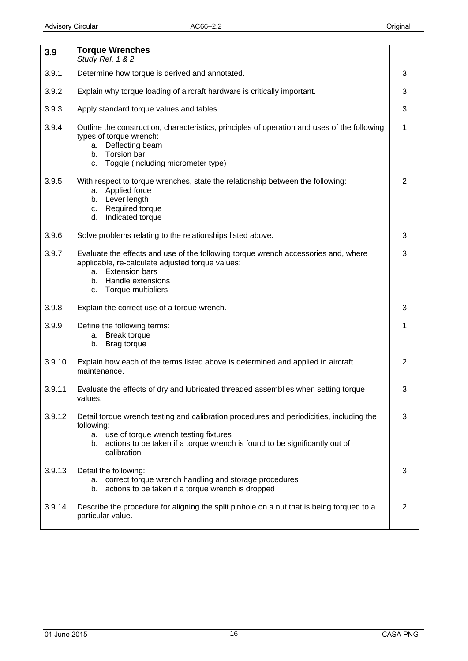<span id="page-15-0"></span>

| 3.9    | <b>Torque Wrenches</b><br>Study Ref. 1 & 2                                                                                                                                                                                                         |                |
|--------|----------------------------------------------------------------------------------------------------------------------------------------------------------------------------------------------------------------------------------------------------|----------------|
| 3.9.1  | Determine how torque is derived and annotated.                                                                                                                                                                                                     | 3              |
| 3.9.2  | Explain why torque loading of aircraft hardware is critically important.                                                                                                                                                                           | 3              |
| 3.9.3  | Apply standard torque values and tables.                                                                                                                                                                                                           | 3              |
| 3.9.4  | Outline the construction, characteristics, principles of operation and uses of the following<br>types of torque wrench:<br>Deflecting beam<br>а.<br>Torsion bar<br>b.<br>Toggle (including micrometer type)<br>C.                                  | $\mathbf{1}$   |
| 3.9.5  | With respect to torque wrenches, state the relationship between the following:<br>a. Applied force<br>b. Lever length<br>Required torque<br>C.<br>Indicated torque<br>d.                                                                           | $\overline{2}$ |
| 3.9.6  | Solve problems relating to the relationships listed above.                                                                                                                                                                                         | 3              |
| 3.9.7  | Evaluate the effects and use of the following torque wrench accessories and, where<br>applicable, re-calculate adjusted torque values:<br>a. Extension bars<br>Handle extensions<br>b.<br>Torque multipliers<br>C.                                 | 3              |
| 3.9.8  | Explain the correct use of a torque wrench.                                                                                                                                                                                                        | 3              |
| 3.9.9  | Define the following terms:<br><b>Break torque</b><br>a.<br>Brag torque<br>b.                                                                                                                                                                      | 1              |
| 3.9.10 | Explain how each of the terms listed above is determined and applied in aircraft<br>maintenance.                                                                                                                                                   | 2              |
| 3.9.11 | Evaluate the effects of dry and lubricated threaded assemblies when setting torque<br>values.                                                                                                                                                      | 3              |
| 3.9.12 | Detail torque wrench testing and calibration procedures and periodicities, including the<br>following:<br>a. use of torque wrench testing fixtures<br>b. actions to be taken if a torque wrench is found to be significantly out of<br>calibration | 3              |
| 3.9.13 | Detail the following:<br>correct torque wrench handling and storage procedures<br>а.<br>actions to be taken if a torque wrench is dropped<br>b.                                                                                                    | 3              |
| 3.9.14 | Describe the procedure for aligning the split pinhole on a nut that is being torqued to a<br>particular value.                                                                                                                                     | 2              |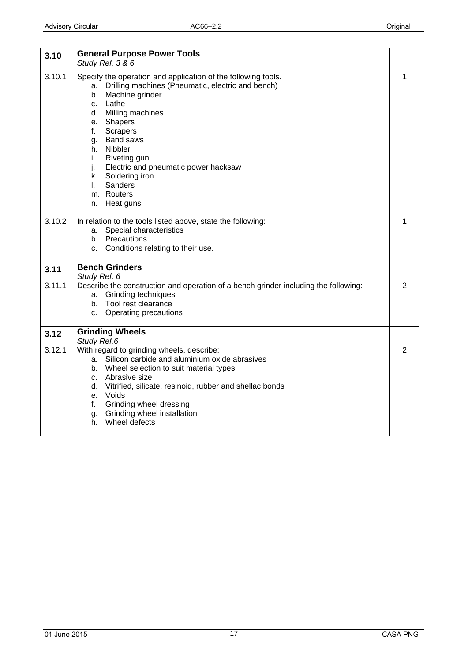<span id="page-16-0"></span>

| 3.10   | <b>General Purpose Power Tools</b>                                                                                    |   |
|--------|-----------------------------------------------------------------------------------------------------------------------|---|
|        | Study Ref. 3 & 6                                                                                                      |   |
| 3.10.1 | Specify the operation and application of the following tools.<br>a. Drilling machines (Pneumatic, electric and bench) | 1 |
|        | Machine grinder<br>b.                                                                                                 |   |
|        | c. Lathe                                                                                                              |   |
|        | d. Milling machines                                                                                                   |   |
|        | e. Shapers                                                                                                            |   |
|        | f.<br>Scrapers                                                                                                        |   |
|        | g. Band saws<br>h. Nibbler                                                                                            |   |
|        | Riveting gun<br>i.                                                                                                    |   |
|        | Electric and pneumatic power hacksaw<br>j.                                                                            |   |
|        | k. Soldering iron                                                                                                     |   |
|        | Sanders<br>$\mathbf{L}$                                                                                               |   |
|        | m. Routers                                                                                                            |   |
|        | Heat guns<br>n.                                                                                                       |   |
| 3.10.2 | In relation to the tools listed above, state the following:                                                           | 1 |
|        | Special characteristics<br>а.                                                                                         |   |
|        | b. Precautions                                                                                                        |   |
|        | c. Conditions relating to their use.                                                                                  |   |
| 3.11   | <b>Bench Grinders</b>                                                                                                 |   |
|        | Study Ref. 6                                                                                                          |   |
| 3.11.1 | Describe the construction and operation of a bench grinder including the following:                                   | 2 |
|        | a. Grinding techniques<br>b. Tool rest clearance                                                                      |   |
|        | <b>Operating precautions</b><br>$C_{-}$                                                                               |   |
|        |                                                                                                                       |   |
| 3.12   | <b>Grinding Wheels</b>                                                                                                |   |
|        | Study Ref.6                                                                                                           |   |
| 3.12.1 | With regard to grinding wheels, describe:<br>a. Silicon carbide and aluminium oxide abrasives                         | 2 |
|        | b. Wheel selection to suit material types                                                                             |   |
|        | c. Abrasive size                                                                                                      |   |
|        | d. Vitrified, silicate, resinoid, rubber and shellac bonds                                                            |   |
|        | e. Voids                                                                                                              |   |
|        | Grinding wheel dressing<br>f.                                                                                         |   |
|        | g. Grinding wheel installation<br>Wheel defects                                                                       |   |
|        | h.                                                                                                                    |   |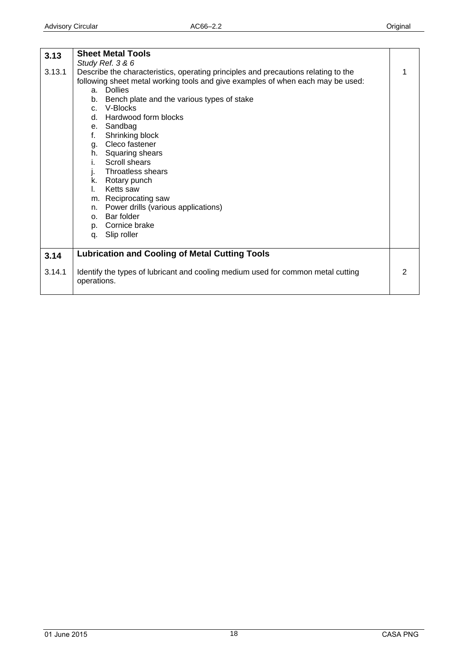<span id="page-17-0"></span>

| 3.13   | <b>Sheet Metal Tools</b>                                                                                                                                                                                                                                                                                                                                                                                                                                                                                                                                                                                                                 |   |
|--------|------------------------------------------------------------------------------------------------------------------------------------------------------------------------------------------------------------------------------------------------------------------------------------------------------------------------------------------------------------------------------------------------------------------------------------------------------------------------------------------------------------------------------------------------------------------------------------------------------------------------------------------|---|
| 3.13.1 | Study Ref. 3 & 6<br>Describe the characteristics, operating principles and precautions relating to the<br>following sheet metal working tools and give examples of when each may be used:<br>a. Dollies<br>Bench plate and the various types of stake<br>b.<br>c. V-Blocks<br>d. Hardwood form blocks<br>e. Sandbag<br>f.<br>Shrinking block<br>g. Cleco fastener<br>h. Squaring shears<br><b>Scroll shears</b><br>i.<br>Throatless shears<br>j.<br>k. Rotary punch<br>Ketts saw<br>$\mathbf{L}$<br>m. Reciprocating saw<br>n. Power drills (various applications)<br>Bar folder<br>O <sub>1</sub><br>p. Cornice brake<br>q. Slip roller | 1 |
| 3.14   | <b>Lubrication and Cooling of Metal Cutting Tools</b>                                                                                                                                                                                                                                                                                                                                                                                                                                                                                                                                                                                    |   |
| 3.14.1 | Identify the types of lubricant and cooling medium used for common metal cutting<br>operations.                                                                                                                                                                                                                                                                                                                                                                                                                                                                                                                                          | 2 |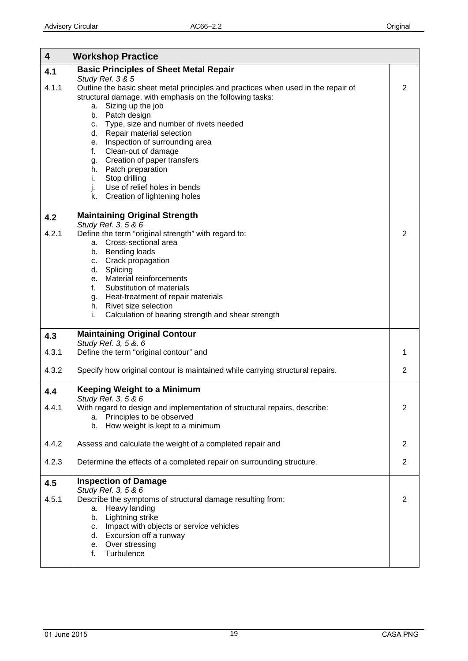<span id="page-18-0"></span>

| $\overline{\mathbf{4}}$ | <b>Workshop Practice</b>                                                                                                                                                                                                                                                                                                                                                                                                                                                                                                                |                |
|-------------------------|-----------------------------------------------------------------------------------------------------------------------------------------------------------------------------------------------------------------------------------------------------------------------------------------------------------------------------------------------------------------------------------------------------------------------------------------------------------------------------------------------------------------------------------------|----------------|
| 4.1                     | <b>Basic Principles of Sheet Metal Repair</b>                                                                                                                                                                                                                                                                                                                                                                                                                                                                                           |                |
| 4.1.1                   | Study Ref. 3 & 5<br>Outline the basic sheet metal principles and practices when used in the repair of<br>structural damage, with emphasis on the following tasks:<br>Sizing up the job<br>а.<br>b. Patch design<br>Type, size and number of rivets needed<br>C.<br>Repair material selection<br>d.<br>Inspection of surrounding area<br>е.<br>Clean-out of damage<br>f.<br>Creation of paper transfers<br>g.<br>h. Patch preparation<br>Stop drilling<br>i.<br>Use of relief holes in bends<br>j.<br>Creation of lightening holes<br>k. | 2              |
| 4.2                     | <b>Maintaining Original Strength</b>                                                                                                                                                                                                                                                                                                                                                                                                                                                                                                    |                |
| 4.2.1                   | Study Ref. 3, 5 & 6<br>Define the term "original strength" with regard to:<br>a. Cross-sectional area<br>b. Bending loads<br>c. Crack propagation<br>d. Splicing<br>e. Material reinforcements<br>Substitution of materials<br>f.<br>g. Heat-treatment of repair materials<br>h. Rivet size selection<br>Calculation of bearing strength and shear strength<br>i.                                                                                                                                                                       | 2              |
| 4.3                     | <b>Maintaining Original Contour</b>                                                                                                                                                                                                                                                                                                                                                                                                                                                                                                     |                |
| 4.3.1                   | Study Ref. 3, 5 &, 6<br>Define the term "original contour" and                                                                                                                                                                                                                                                                                                                                                                                                                                                                          | 1              |
| 4.3.2                   | Specify how original contour is maintained while carrying structural repairs.                                                                                                                                                                                                                                                                                                                                                                                                                                                           | $\overline{2}$ |
| 4.4                     | <b>Keeping Weight to a Minimum</b>                                                                                                                                                                                                                                                                                                                                                                                                                                                                                                      |                |
| 4.4.1                   | Study Ref. 3, 5 & 6<br>With regard to design and implementation of structural repairs, describe:<br>a. Principles to be observed<br>How weight is kept to a minimum<br>b.                                                                                                                                                                                                                                                                                                                                                               | $\overline{2}$ |
| 4.4.2                   | Assess and calculate the weight of a completed repair and                                                                                                                                                                                                                                                                                                                                                                                                                                                                               | $\overline{2}$ |
| 4.2.3                   | Determine the effects of a completed repair on surrounding structure.                                                                                                                                                                                                                                                                                                                                                                                                                                                                   | $\mathbf{2}$   |
| 4.5<br>4.5.1            | <b>Inspection of Damage</b><br>Study Ref. 3, 5 & 6<br>Describe the symptoms of structural damage resulting from:<br>a. Heavy landing<br>b. Lightning strike<br>c. Impact with objects or service vehicles<br>d. Excursion off a runway<br>e. Over stressing<br>Turbulence<br>f.                                                                                                                                                                                                                                                         | 2              |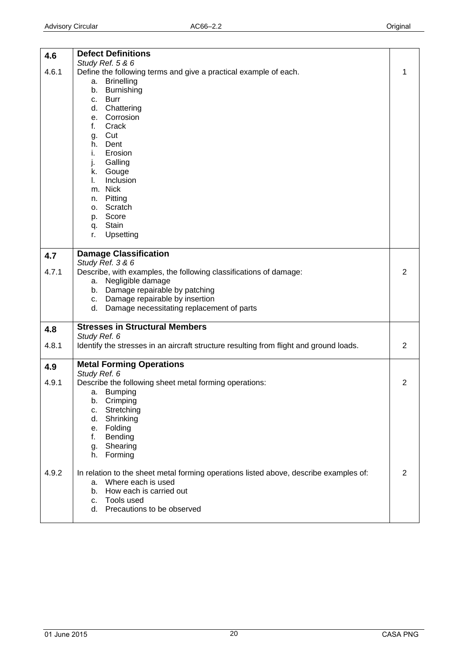<span id="page-19-0"></span>

| 4.6   | <b>Defect Definitions</b>                                                              |                |
|-------|----------------------------------------------------------------------------------------|----------------|
| 4.6.1 | Study Ref. 5 & 6                                                                       | 1              |
|       | Define the following terms and give a practical example of each.<br>a. Brinelling      |                |
|       | Burnishing<br>b.                                                                       |                |
|       | <b>Burr</b><br>C.                                                                      |                |
|       | d. Chattering                                                                          |                |
|       | e. Corrosion                                                                           |                |
|       | f.<br>Crack                                                                            |                |
|       | g. Cut                                                                                 |                |
|       | h. Dent                                                                                |                |
|       | i.<br>Erosion<br>Galling<br>j.                                                         |                |
|       | k. Gouge                                                                               |                |
|       | Inclusion<br>L.                                                                        |                |
|       | m. Nick                                                                                |                |
|       | n. Pitting                                                                             |                |
|       | o. Scratch                                                                             |                |
|       | p. Score                                                                               |                |
|       | q. Stain                                                                               |                |
|       | Upsetting<br>r.                                                                        |                |
| 4.7   | <b>Damage Classification</b>                                                           |                |
|       | Study Ref. 3 & 6                                                                       |                |
| 4.7.1 | Describe, with examples, the following classifications of damage:                      | 2              |
|       | Negligible damage<br>a.                                                                |                |
|       | b. Damage repairable by patching                                                       |                |
|       | c. Damage repairable by insertion<br>d. Damage necessitating replacement of parts      |                |
|       |                                                                                        |                |
| 4.8   | <b>Stresses in Structural Members</b>                                                  |                |
|       | Study Ref. 6                                                                           |                |
| 4.8.1 | Identify the stresses in an aircraft structure resulting from flight and ground loads. | $\overline{2}$ |
| 4.9   | <b>Metal Forming Operations</b>                                                        |                |
|       | Study Ref. 6                                                                           |                |
| 4.9.1 | Describe the following sheet metal forming operations:                                 | 2              |
|       | a. Bumping                                                                             |                |
|       | Crimping<br>b.<br>Stretching<br>C.                                                     |                |
|       | d.<br>Shrinking                                                                        |                |
|       | Folding<br>e.                                                                          |                |
|       | f.<br>Bending                                                                          |                |
|       | Shearing<br>g.                                                                         |                |
|       | Forming<br>h.                                                                          |                |
| 4.9.2 | In relation to the sheet metal forming operations listed above, describe examples of:  | 2              |
|       | a. Where each is used                                                                  |                |
|       | b. How each is carried out                                                             |                |
|       | c. Tools used                                                                          |                |
|       | Precautions to be observed<br>d.                                                       |                |
|       |                                                                                        |                |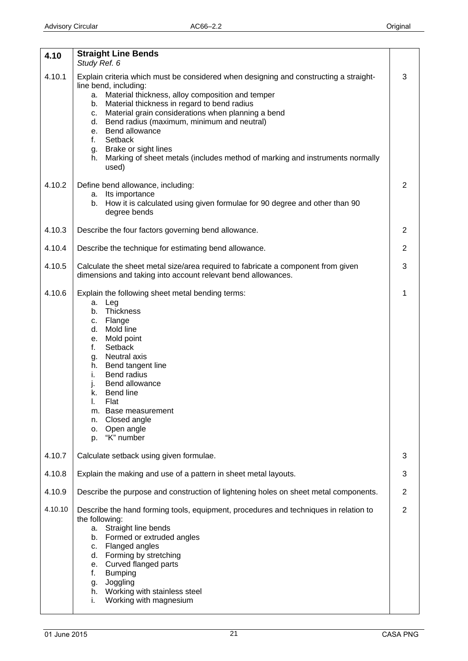<span id="page-20-0"></span>

| 4.10    | <b>Straight Line Bends</b><br>Study Ref. 6                                                                                                                                                                                                                                                                                                                                                                                                                                                                 |                |
|---------|------------------------------------------------------------------------------------------------------------------------------------------------------------------------------------------------------------------------------------------------------------------------------------------------------------------------------------------------------------------------------------------------------------------------------------------------------------------------------------------------------------|----------------|
| 4.10.1  | Explain criteria which must be considered when designing and constructing a straight-<br>line bend, including:<br>a. Material thickness, alloy composition and temper<br>Material thickness in regard to bend radius<br>b.<br>Material grain considerations when planning a bend<br>C.<br>d. Bend radius (maximum, minimum and neutral)<br>e. Bend allowance<br>Setback<br>f.<br>Brake or sight lines<br>g.<br>Marking of sheet metals (includes method of marking and instruments normally<br>h.<br>used) | 3              |
| 4.10.2  | Define bend allowance, including:<br>a. Its importance<br>How it is calculated using given formulae for 90 degree and other than 90<br>b.<br>degree bends                                                                                                                                                                                                                                                                                                                                                  | $\overline{2}$ |
| 4.10.3  | Describe the four factors governing bend allowance.                                                                                                                                                                                                                                                                                                                                                                                                                                                        | $\overline{2}$ |
| 4.10.4  | Describe the technique for estimating bend allowance.                                                                                                                                                                                                                                                                                                                                                                                                                                                      | 2              |
| 4.10.5  | Calculate the sheet metal size/area required to fabricate a component from given<br>dimensions and taking into account relevant bend allowances.                                                                                                                                                                                                                                                                                                                                                           | 3              |
| 4.10.6  | Explain the following sheet metal bending terms:<br>a. Leg<br>Thickness<br>b.<br>c. Flange<br>Mold line<br>d.<br>e. Mold point<br>f.<br>Setback<br>Neutral axis<br>g.<br>Bend tangent line<br>h.<br>Bend radius<br>i.<br>Bend allowance<br>j.<br>k. Bend line<br>ı.<br>Flat<br>Base measurement<br>m.<br>Closed angle<br>n.<br>o. Open angle<br>"K" number<br>p.                                                                                                                                           | 1              |
| 4.10.7  | Calculate setback using given formulae.                                                                                                                                                                                                                                                                                                                                                                                                                                                                    | 3              |
| 4.10.8  | Explain the making and use of a pattern in sheet metal layouts.                                                                                                                                                                                                                                                                                                                                                                                                                                            | 3              |
| 4.10.9  | Describe the purpose and construction of lightening holes on sheet metal components.                                                                                                                                                                                                                                                                                                                                                                                                                       | $\overline{2}$ |
| 4.10.10 | Describe the hand forming tools, equipment, procedures and techniques in relation to<br>the following:<br>a. Straight line bends<br>b. Formed or extruded angles<br>c. Flanged angles<br>d. Forming by stretching<br>e. Curved flanged parts<br><b>Bumping</b><br>f.<br>Joggling<br>g.<br>h. Working with stainless steel<br>Working with magnesium<br>i.                                                                                                                                                  | $\overline{2}$ |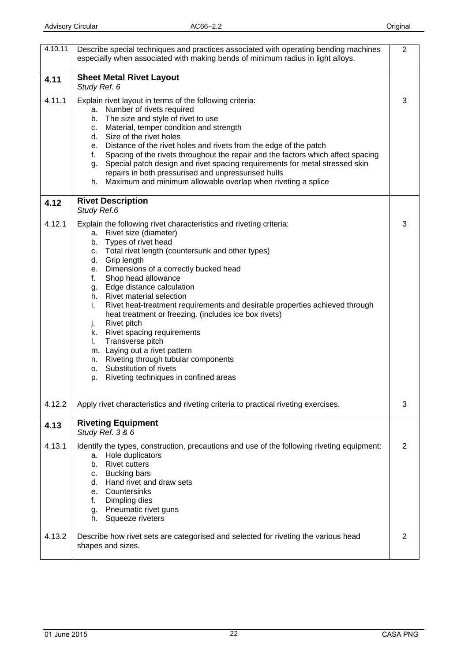<span id="page-21-0"></span>

| 4.10.11 | Describe special techniques and practices associated with operating bending machines<br>especially when associated with making bends of minimum radius in light alloys.                                                                                                                                                                                                                                                                                                                                                                                                                                                                                                                                                        | $\overline{2}$ |
|---------|--------------------------------------------------------------------------------------------------------------------------------------------------------------------------------------------------------------------------------------------------------------------------------------------------------------------------------------------------------------------------------------------------------------------------------------------------------------------------------------------------------------------------------------------------------------------------------------------------------------------------------------------------------------------------------------------------------------------------------|----------------|
| 4.11    | <b>Sheet Metal Rivet Layout</b><br>Study Ref. 6                                                                                                                                                                                                                                                                                                                                                                                                                                                                                                                                                                                                                                                                                |                |
| 4.11.1  | Explain rivet layout in terms of the following criteria:<br>a. Number of rivets required<br>b. The size and style of rivet to use<br>c. Material, temper condition and strength<br>d. Size of the rivet holes<br>e. Distance of the rivet holes and rivets from the edge of the patch<br>f. Spacing of the rivets throughout the repair and the factors which affect spacing<br>g. Special patch design and rivet spacing requirements for metal stressed skin<br>repairs in both pressurised and unpressurised hulls<br>h. Maximum and minimum allowable overlap when riveting a splice                                                                                                                                       | 3              |
| 4.12    | <b>Rivet Description</b><br>Study Ref.6                                                                                                                                                                                                                                                                                                                                                                                                                                                                                                                                                                                                                                                                                        |                |
| 4.12.1  | Explain the following rivet characteristics and riveting criteria:<br>a. Rivet size (diameter)<br>b. Types of rivet head<br>Total rivet length (countersunk and other types)<br>С.<br>d. Grip length<br>e. Dimensions of a correctly bucked head<br>Shop head allowance<br>f.<br>g. Edge distance calculation<br>h. Rivet material selection<br>Rivet heat-treatment requirements and desirable properties achieved through<br>i.<br>heat treatment or freezing. (includes ice box rivets)<br>Rivet pitch<br>j.<br>k. Rivet spacing requirements<br>Transverse pitch<br>L.<br>m. Laying out a rivet pattern<br>n. Riveting through tubular components<br>o. Substitution of rivets<br>p. Riveting techniques in confined areas | 3              |
| 4.12.2  | Apply rivet characteristics and riveting criteria to practical riveting exercises.                                                                                                                                                                                                                                                                                                                                                                                                                                                                                                                                                                                                                                             | 3              |
| 4.13    | <b>Riveting Equipment</b><br>Study Ref. 3 & 6                                                                                                                                                                                                                                                                                                                                                                                                                                                                                                                                                                                                                                                                                  |                |
| 4.13.1  | Identify the types, construction, precautions and use of the following riveting equipment:<br>a. Hole duplicators<br>b. Rivet cutters<br><b>Bucking bars</b><br>C.<br>Hand rivet and draw sets<br>d.<br>e. Countersinks<br>Dimpling dies<br>f.<br>g. Pneumatic rivet guns<br>h. Squeeze riveters                                                                                                                                                                                                                                                                                                                                                                                                                               | 2              |
| 4.13.2  | Describe how rivet sets are categorised and selected for riveting the various head<br>shapes and sizes.                                                                                                                                                                                                                                                                                                                                                                                                                                                                                                                                                                                                                        | 2              |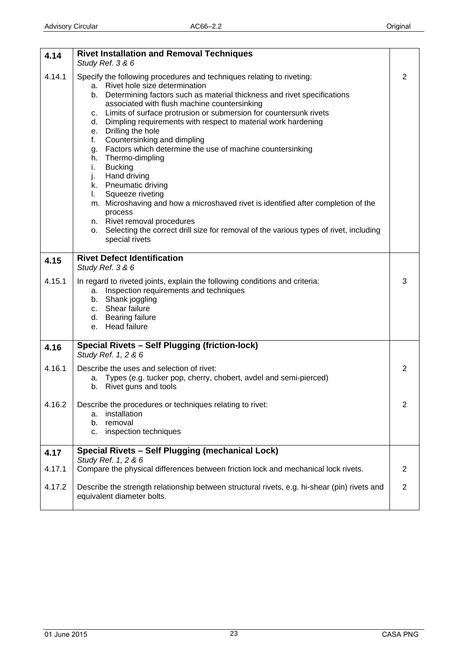<span id="page-22-0"></span>

| 4.14   | <b>Rivet Installation and Removal Techniques</b><br>Study Ref. 3 & 6                                                                                                                                                                                                                                                                                                                                                                                                                                                                                                                                                                                                                                                                                                                                                                                                                |                |
|--------|-------------------------------------------------------------------------------------------------------------------------------------------------------------------------------------------------------------------------------------------------------------------------------------------------------------------------------------------------------------------------------------------------------------------------------------------------------------------------------------------------------------------------------------------------------------------------------------------------------------------------------------------------------------------------------------------------------------------------------------------------------------------------------------------------------------------------------------------------------------------------------------|----------------|
| 4.14.1 | Specify the following procedures and techniques relating to riveting:<br>a. Rivet hole size determination<br>b. Determining factors such as material thickness and rivet specifications<br>associated with flush machine countersinking<br>c. Limits of surface protrusion or submersion for countersunk rivets<br>d. Dimpling requirements with respect to material work hardening<br>e. Drilling the hole<br>Countersinking and dimpling<br>f.<br>g. Factors which determine the use of machine countersinking<br>h. Thermo-dimpling<br>i.<br><b>Bucking</b><br>j.<br>Hand driving<br>k. Pneumatic driving<br>Squeeze riveting<br>I.<br>m. Microshaving and how a microshaved rivet is identified after completion of the<br>process<br>n. Rivet removal procedures<br>o. Selecting the correct drill size for removal of the various types of rivet, including<br>special rivets | 2              |
| 4.15   | <b>Rivet Defect Identification</b><br>Study Ref. 3 & 6                                                                                                                                                                                                                                                                                                                                                                                                                                                                                                                                                                                                                                                                                                                                                                                                                              |                |
| 4.15.1 | In regard to riveted joints, explain the following conditions and criteria:<br>a. Inspection requirements and techniques<br>b. Shank joggling<br>c. Shear failure<br>d. Bearing failure<br>e. Head failure                                                                                                                                                                                                                                                                                                                                                                                                                                                                                                                                                                                                                                                                          | 3              |
| 4.16   | <b>Special Rivets - Self Plugging (friction-lock)</b><br>Study Ref. 1, 2 & 6                                                                                                                                                                                                                                                                                                                                                                                                                                                                                                                                                                                                                                                                                                                                                                                                        |                |
| 4.16.1 | Describe the uses and selection of rivet:<br>a. Types (e.g. tucker pop, cherry, chobert, avdel and semi-pierced)<br>b. Rivet guns and tools                                                                                                                                                                                                                                                                                                                                                                                                                                                                                                                                                                                                                                                                                                                                         | 2              |
| 4.16.2 | Describe the procedures or techniques relating to rivet:<br>installation<br>а.<br>removal<br>b.<br>inspection techniques<br>c.                                                                                                                                                                                                                                                                                                                                                                                                                                                                                                                                                                                                                                                                                                                                                      | 2              |
| 4.17   | Special Rivets - Self Plugging (mechanical Lock)<br>Study Ref. 1, 2 & 6                                                                                                                                                                                                                                                                                                                                                                                                                                                                                                                                                                                                                                                                                                                                                                                                             |                |
| 4.17.1 | Compare the physical differences between friction lock and mechanical lock rivets.                                                                                                                                                                                                                                                                                                                                                                                                                                                                                                                                                                                                                                                                                                                                                                                                  | 2              |
| 4.17.2 | Describe the strength relationship between structural rivets, e.g. hi-shear (pin) rivets and<br>equivalent diameter bolts.                                                                                                                                                                                                                                                                                                                                                                                                                                                                                                                                                                                                                                                                                                                                                          | $\overline{2}$ |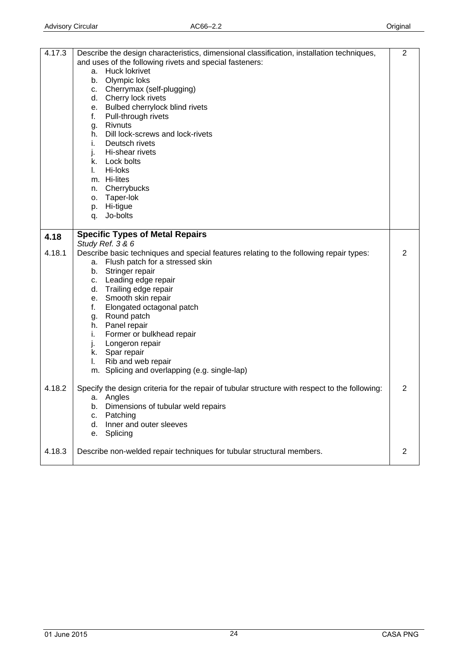<span id="page-23-0"></span>

| 4.17.3<br>4.18 | Describe the design characteristics, dimensional classification, installation techniques,<br>and uses of the following rivets and special fasteners:<br>Huck lokrivet<br>а.<br>Olympic loks<br>b.<br>Cherrymax (self-plugging)<br>C.<br>Cherry lock rivets<br>d.<br>e. Bulbed cherrylock blind rivets<br>Pull-through rivets<br>f.<br>Rivnuts<br>g.<br>Dill lock-screws and lock-rivets<br>h.<br>Deutsch rivets<br>i.<br>Hi-shear rivets<br>j.<br>k. Lock bolts<br>Hi-loks<br>L.<br>m. Hi-lites<br>n. Cherrybucks<br>Taper-lok<br>о.<br>Hi-tigue<br>p.<br>Jo-bolts<br>q.<br><b>Specific Types of Metal Repairs</b> | 2              |
|----------------|--------------------------------------------------------------------------------------------------------------------------------------------------------------------------------------------------------------------------------------------------------------------------------------------------------------------------------------------------------------------------------------------------------------------------------------------------------------------------------------------------------------------------------------------------------------------------------------------------------------------|----------------|
|                | Study Ref. 3 & 6                                                                                                                                                                                                                                                                                                                                                                                                                                                                                                                                                                                                   |                |
| 4.18.1         | Describe basic techniques and special features relating to the following repair types:<br>Flush patch for a stressed skin<br>а.<br>Stringer repair<br>b.<br>c. Leading edge repair<br>d. Trailing edge repair<br>e. Smooth skin repair<br>f.<br>Elongated octagonal patch<br>Round patch<br>g.<br>Panel repair<br>h.<br>Former or bulkhead repair<br>i.<br>Longeron repair<br>j.<br>k. Spar repair<br>Rib and web repair<br>I.<br>m. Splicing and overlapping (e.g. single-lap)                                                                                                                                    | 2              |
| 4.18.2         | Specify the design criteria for the repair of tubular structure with respect to the following:<br>a. Angles<br>Dimensions of tubular weld repairs<br>b.<br>Patching<br>с.<br>Inner and outer sleeves<br>d.<br>Splicing<br>е.                                                                                                                                                                                                                                                                                                                                                                                       | $\overline{2}$ |
| 4.18.3         | Describe non-welded repair techniques for tubular structural members.                                                                                                                                                                                                                                                                                                                                                                                                                                                                                                                                              | $\overline{2}$ |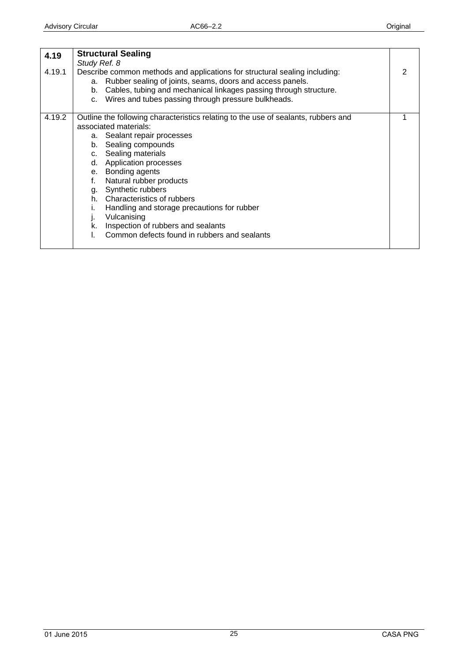<span id="page-24-0"></span>

| 4.19<br>4.19.1 | <b>Structural Sealing</b><br>Study Ref. 8<br>Describe common methods and applications for structural sealing including:<br>a. Rubber sealing of joints, seams, doors and access panels.<br>b. Cables, tubing and mechanical linkages passing through structure.<br>c. Wires and tubes passing through pressure bulkheads.                                                                                                                                                                   | 2 |
|----------------|---------------------------------------------------------------------------------------------------------------------------------------------------------------------------------------------------------------------------------------------------------------------------------------------------------------------------------------------------------------------------------------------------------------------------------------------------------------------------------------------|---|
| 4.19.2         | Outline the following characteristics relating to the use of sealants, rubbers and<br>associated materials:<br>a. Sealant repair processes<br>b. Sealing compounds<br>c. Sealing materials<br>d. Application processes<br>e. Bonding agents<br>Natural rubber products<br>g. Synthetic rubbers<br>h. Characteristics of rubbers<br>Handling and storage precautions for rubber<br>Vulcanising<br>Ŀ<br>k. Inspection of rubbers and sealants<br>Common defects found in rubbers and sealants |   |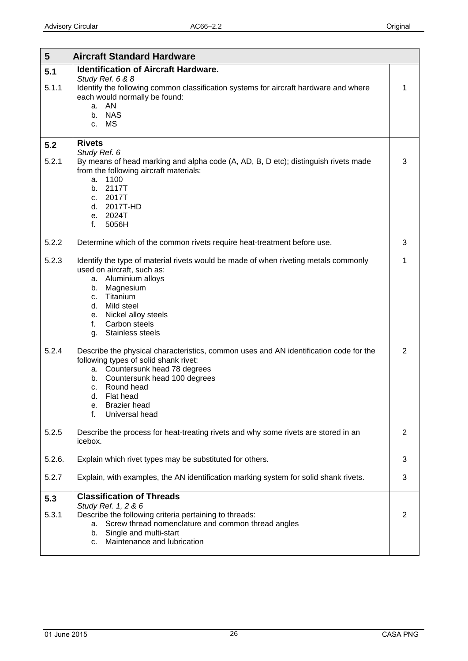<span id="page-25-0"></span>

| 5            | <b>Aircraft Standard Hardware</b>                                                                                                                                                                                                                                                            |                |
|--------------|----------------------------------------------------------------------------------------------------------------------------------------------------------------------------------------------------------------------------------------------------------------------------------------------|----------------|
| 5.1          | <b>Identification of Aircraft Hardware.</b>                                                                                                                                                                                                                                                  |                |
| 5.1.1        | Study Ref. 6 & 8<br>Identify the following common classification systems for aircraft hardware and where<br>each would normally be found:<br>a. AN<br>b. NAS<br>c. MS                                                                                                                        | 1              |
| 5.2          | <b>Rivets</b><br>Study Ref. 6                                                                                                                                                                                                                                                                |                |
| 5.2.1        | By means of head marking and alpha code (A, AD, B, D etc); distinguish rivets made<br>from the following aircraft materials:<br>1100<br>a.<br>b. 2117T<br>c. 2017T<br>d. 2017T-HD<br>e. 2024T<br>f.<br>5056H                                                                                 | 3              |
| 5.2.2        | Determine which of the common rivets require heat-treatment before use.                                                                                                                                                                                                                      | 3              |
| 5.2.3        | Identify the type of material rivets would be made of when riveting metals commonly<br>used on aircraft, such as:<br>a. Aluminium alloys<br>Magnesium<br>b.<br>Titanium<br>$C_{1}$<br>Mild steel<br>d.<br>e. Nickel alloy steels<br>Carbon steels<br>f.<br>Stainless steels<br>q.            | 1              |
| 5.2.4        | Describe the physical characteristics, common uses and AN identification code for the<br>following types of solid shank rivet:<br>a. Countersunk head 78 degrees<br>b. Countersunk head 100 degrees<br>Round head<br>C.<br>d. Flat head<br><b>Brazier</b> head<br>е.<br>Universal head<br>f. | $\overline{2}$ |
| 5.2.5        | Describe the process for heat-treating rivets and why some rivets are stored in an<br>icebox.                                                                                                                                                                                                | 2              |
| 5.2.6.       | Explain which rivet types may be substituted for others.                                                                                                                                                                                                                                     | 3              |
| 5.2.7        | Explain, with examples, the AN identification marking system for solid shank rivets.                                                                                                                                                                                                         | 3              |
| 5.3<br>5.3.1 | <b>Classification of Threads</b><br>Study Ref. 1, 2 & 6<br>Describe the following criteria pertaining to threads:<br>Screw thread nomenclature and common thread angles<br>a.<br>Single and multi-start<br>b.<br>Maintenance and lubrication<br>c.                                           | 2              |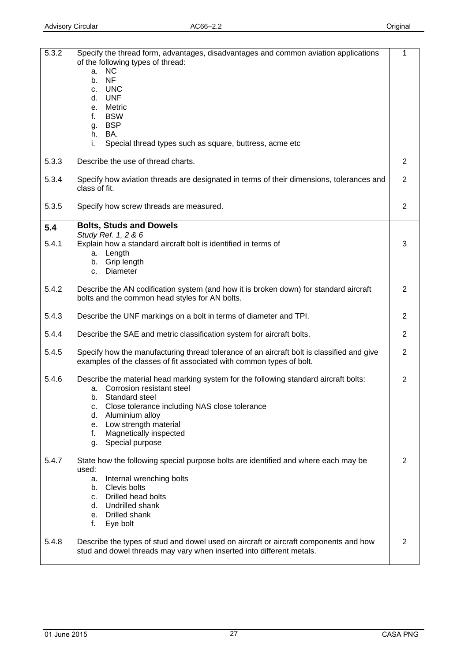<span id="page-26-0"></span>

| 5.3.2 | Specify the thread form, advantages, disadvantages and common aviation applications<br>of the following types of thread:<br><b>NC</b><br>а.<br><b>NF</b><br>$b_{-}$<br><b>UNC</b><br>C.<br>d. UNF<br>Metric<br>e.<br><b>BSW</b><br>f.                                                                             | 1              |
|-------|-------------------------------------------------------------------------------------------------------------------------------------------------------------------------------------------------------------------------------------------------------------------------------------------------------------------|----------------|
|       | <b>BSP</b><br>g.<br>h. BA.<br>i.<br>Special thread types such as square, buttress, acme etc                                                                                                                                                                                                                       |                |
| 5.3.3 | Describe the use of thread charts.                                                                                                                                                                                                                                                                                | 2              |
| 5.3.4 | Specify how aviation threads are designated in terms of their dimensions, tolerances and<br>class of fit.                                                                                                                                                                                                         | 2              |
| 5.3.5 | Specify how screw threads are measured.                                                                                                                                                                                                                                                                           | 2              |
| 5.4   | <b>Bolts, Studs and Dowels</b>                                                                                                                                                                                                                                                                                    |                |
| 5.4.1 | Study Ref. 1, 2 & 6<br>Explain how a standard aircraft bolt is identified in terms of<br>a. Length<br>b. Grip length<br><b>Diameter</b><br>C.                                                                                                                                                                     | 3              |
| 5.4.2 | Describe the AN codification system (and how it is broken down) for standard aircraft<br>bolts and the common head styles for AN bolts.                                                                                                                                                                           | 2              |
| 5.4.3 | Describe the UNF markings on a bolt in terms of diameter and TPI.                                                                                                                                                                                                                                                 | 2              |
| 5.4.4 | Describe the SAE and metric classification system for aircraft bolts.                                                                                                                                                                                                                                             | $\overline{2}$ |
| 5.4.5 | Specify how the manufacturing thread tolerance of an aircraft bolt is classified and give<br>examples of the classes of fit associated with common types of bolt.                                                                                                                                                 | $\overline{2}$ |
| 5.4.6 | Describe the material head marking system for the following standard aircraft bolts:<br>a. Corrosion resistant steel<br>b. Standard steel<br>Close tolerance including NAS close tolerance<br>с.<br>Aluminium alloy<br>d.<br>Low strength material<br>е.<br>Magnetically inspected<br>f.<br>Special purpose<br>g. | 2              |
| 5.4.7 | State how the following special purpose bolts are identified and where each may be<br>used:<br>Internal wrenching bolts<br>a.<br>b. Clevis bolts<br>c. Drilled head bolts<br>d. Undrilled shank<br>e. Drilled shank<br>f.<br>Eye bolt                                                                             | 2              |
| 5.4.8 | Describe the types of stud and dowel used on aircraft or aircraft components and how<br>stud and dowel threads may vary when inserted into different metals.                                                                                                                                                      | 2              |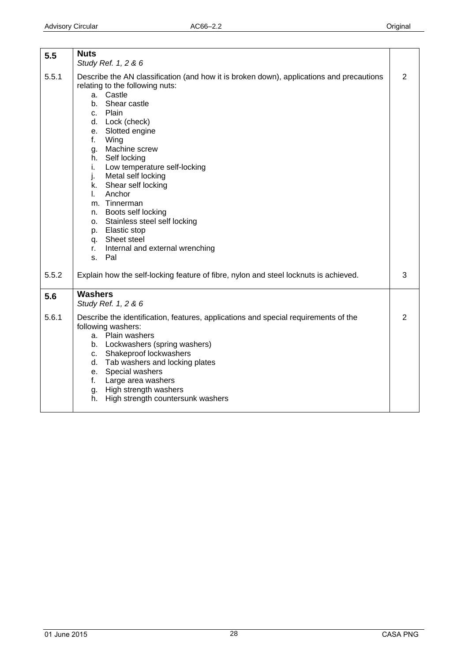<span id="page-27-0"></span>

| 5.5   | <b>Nuts</b><br>Study Ref. 1, 2 & 6                                                                                                                                                                                                                                                                                                                                                                                                                                                                                                                           |                |
|-------|--------------------------------------------------------------------------------------------------------------------------------------------------------------------------------------------------------------------------------------------------------------------------------------------------------------------------------------------------------------------------------------------------------------------------------------------------------------------------------------------------------------------------------------------------------------|----------------|
| 5.5.1 | Describe the AN classification (and how it is broken down), applications and precautions<br>relating to the following nuts:<br>Castle<br>a.<br>Shear castle<br>b.<br>c. Plain<br>d. Lock (check)<br>e. Slotted engine<br>f.<br>Wing<br>Machine screw<br>g.<br>h. Self locking<br>Low temperature self-locking<br>i.<br>j.<br>Metal self locking<br>k. Shear self locking<br>Anchor<br>L.<br>m. Tinnerman<br>n. Boots self locking<br>o. Stainless steel self locking<br>p. Elastic stop<br>q. Sheet steel<br>Internal and external wrenching<br>r.<br>s. Pal | $\overline{2}$ |
| 5.5.2 | Explain how the self-locking feature of fibre, nylon and steel locknuts is achieved.                                                                                                                                                                                                                                                                                                                                                                                                                                                                         | 3              |
| 5.6   | <b>Washers</b><br>Study Ref. 1, 2 & 6                                                                                                                                                                                                                                                                                                                                                                                                                                                                                                                        |                |
| 5.6.1 | Describe the identification, features, applications and special requirements of the<br>following washers:<br>a. Plain washers<br>b. Lockwashers (spring washers)<br>c. Shakeproof lockwashers<br>d. Tab washers and locking plates<br>e. Special washers<br>Large area washers<br>f.<br>g. High strength washers<br>High strength countersunk washers<br>h.                                                                                                                                                                                                  | $\overline{2}$ |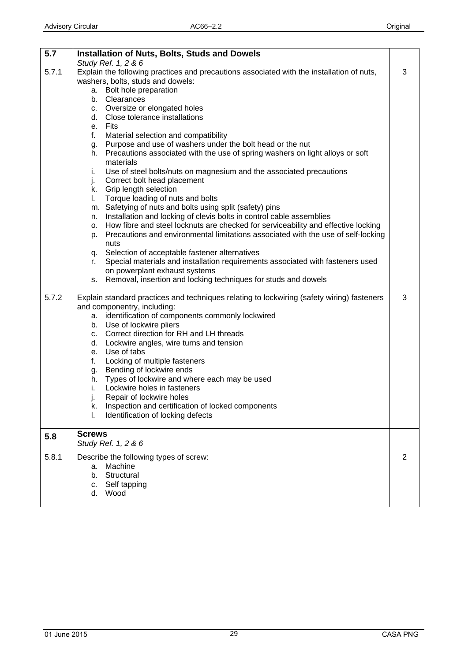<span id="page-28-0"></span>

| 5.7   | <b>Installation of Nuts, Bolts, Studs and Dowels</b>                                                                                                               |   |
|-------|--------------------------------------------------------------------------------------------------------------------------------------------------------------------|---|
|       | Study Ref. 1, 2 & 6                                                                                                                                                |   |
| 5.7.1 | Explain the following practices and precautions associated with the installation of nuts,                                                                          | 3 |
|       | washers, bolts, studs and dowels:<br>a. Bolt hole preparation                                                                                                      |   |
|       | b. Clearances                                                                                                                                                      |   |
|       | c. Oversize or elongated holes                                                                                                                                     |   |
|       | d. Close tolerance installations                                                                                                                                   |   |
|       | e. Fits                                                                                                                                                            |   |
|       | f.<br>Material selection and compatibility                                                                                                                         |   |
|       | g. Purpose and use of washers under the bolt head or the nut                                                                                                       |   |
|       | h. Precautions associated with the use of spring washers on light alloys or soft                                                                                   |   |
|       | materials                                                                                                                                                          |   |
|       | Use of steel bolts/nuts on magnesium and the associated precautions<br>i.                                                                                          |   |
|       | j.<br>Correct bolt head placement                                                                                                                                  |   |
|       | k. Grip length selection                                                                                                                                           |   |
|       | Torque loading of nuts and bolts<br>L.                                                                                                                             |   |
|       | m. Safetying of nuts and bolts using split (safety) pins                                                                                                           |   |
|       | Installation and locking of clevis bolts in control cable assemblies<br>n.<br>o. How fibre and steel locknuts are checked for serviceability and effective locking |   |
|       | Precautions and environmental limitations associated with the use of self-locking<br>p.                                                                            |   |
|       | nuts                                                                                                                                                               |   |
|       | q. Selection of acceptable fastener alternatives                                                                                                                   |   |
|       | Special materials and installation requirements associated with fasteners used<br>r.                                                                               |   |
|       | on powerplant exhaust systems                                                                                                                                      |   |
|       | Removal, insertion and locking techniques for studs and dowels<br>S.                                                                                               |   |
| 5.7.2 | Explain standard practices and techniques relating to lockwiring (safety wiring) fasteners                                                                         | 3 |
|       | and componentry, including:                                                                                                                                        |   |
|       | a. identification of components commonly lockwired                                                                                                                 |   |
|       | b. Use of lockwire pliers                                                                                                                                          |   |
|       | c. Correct direction for RH and LH threads                                                                                                                         |   |
|       | d. Lockwire angles, wire turns and tension                                                                                                                         |   |
|       | e. Use of tabs                                                                                                                                                     |   |
|       | Locking of multiple fasteners<br>f.                                                                                                                                |   |
|       | g. Bending of lockwire ends<br>h. Types of lockwire and where each may be used                                                                                     |   |
|       | Lockwire holes in fasteners<br>i.                                                                                                                                  |   |
|       | Repair of lockwire holes                                                                                                                                           |   |
|       | Inspection and certification of locked components<br>k.                                                                                                            |   |
|       | Identification of locking defects<br>I.                                                                                                                            |   |
|       |                                                                                                                                                                    |   |
| 5.8   | <b>Screws</b><br>Study Ref. 1, 2 & 6                                                                                                                               |   |
| 5.8.1 | Describe the following types of screw:                                                                                                                             | 2 |
|       | Machine<br>a.                                                                                                                                                      |   |
|       | Structural<br>b.                                                                                                                                                   |   |
|       | Self tapping<br>C.                                                                                                                                                 |   |
|       | d.<br>Wood                                                                                                                                                         |   |
|       |                                                                                                                                                                    |   |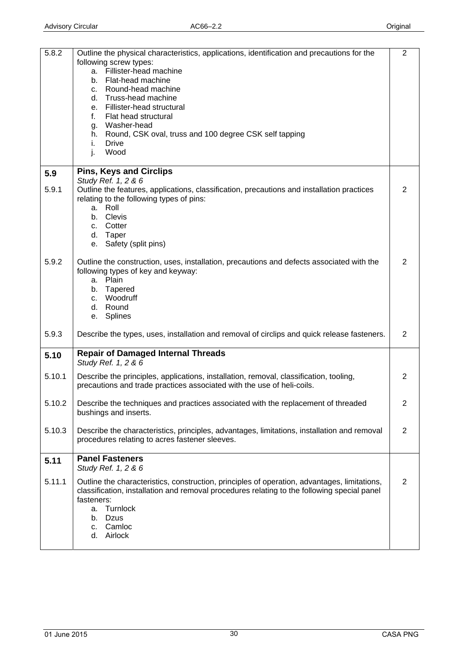<span id="page-29-0"></span>

| 5.8.2  | Outline the physical characteristics, applications, identification and precautions for the<br>following screw types:<br>a. Fillister-head machine<br>b. Flat-head machine<br>c. Round-head machine<br>Truss-head machine<br>d.<br>e. Fillister-head structural<br>Flat head structural<br>f.<br>g. Washer-head<br>h. Round, CSK oval, truss and 100 degree CSK self tapping<br>i.<br><b>Drive</b><br>Wood<br>j. | $\overline{2}$ |
|--------|-----------------------------------------------------------------------------------------------------------------------------------------------------------------------------------------------------------------------------------------------------------------------------------------------------------------------------------------------------------------------------------------------------------------|----------------|
| 5.9    | <b>Pins, Keys and Circlips</b><br>Study Ref. 1, 2 & 6                                                                                                                                                                                                                                                                                                                                                           |                |
| 5.9.1  | Outline the features, applications, classification, precautions and installation practices<br>relating to the following types of pins:<br>a. Roll<br>b. Clevis<br>c. Cotter<br>d. Taper<br>e. Safety (split pins)                                                                                                                                                                                               | $\overline{2}$ |
| 5.9.2  | Outline the construction, uses, installation, precautions and defects associated with the<br>following types of key and keyway:<br>a. Plain<br>b. Tapered<br>c. Woodruff<br>d. Round<br>e. Splines                                                                                                                                                                                                              | 2              |
| 5.9.3  | Describe the types, uses, installation and removal of circlips and quick release fasteners.                                                                                                                                                                                                                                                                                                                     | $\overline{2}$ |
| 5.10   | <b>Repair of Damaged Internal Threads</b><br>Study Ref. 1, 2 & 6                                                                                                                                                                                                                                                                                                                                                |                |
| 5.10.1 | Describe the principles, applications, installation, removal, classification, tooling,<br>precautions and trade practices associated with the use of heli-coils.                                                                                                                                                                                                                                                | 2              |
| 5.10.2 | Describe the techniques and practices associated with the replacement of threaded<br>bushings and inserts.                                                                                                                                                                                                                                                                                                      | $\overline{2}$ |
| 5.10.3 | Describe the characteristics, principles, advantages, limitations, installation and removal<br>procedures relating to acres fastener sleeves.                                                                                                                                                                                                                                                                   | 2              |
| 5.11   | <b>Panel Fasteners</b><br>Study Ref. 1, 2 & 6                                                                                                                                                                                                                                                                                                                                                                   |                |
| 5.11.1 | Outline the characteristics, construction, principles of operation, advantages, limitations,<br>classification, installation and removal procedures relating to the following special panel<br>fasteners:<br>a. Turnlock<br><b>Dzus</b><br>b.<br>Camloc<br>C.<br>Airlock<br>d.                                                                                                                                  | 2              |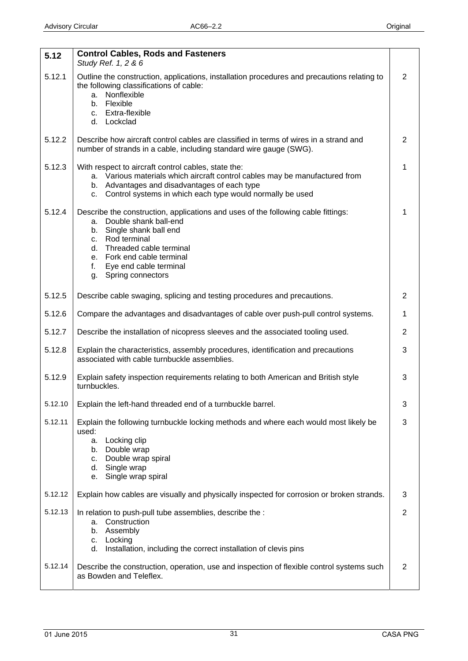<span id="page-30-0"></span>

| 5.12    | <b>Control Cables, Rods and Fasteners</b><br>Study Ref. 1, 2 & 6                                                                                                                                                                                                                    |   |
|---------|-------------------------------------------------------------------------------------------------------------------------------------------------------------------------------------------------------------------------------------------------------------------------------------|---|
| 5.12.1  | Outline the construction, applications, installation procedures and precautions relating to<br>the following classifications of cable:<br>a. Nonflexible<br>b. Flexible<br>c. Extra-flexible<br>d. Lockclad                                                                         | 2 |
| 5.12.2  | Describe how aircraft control cables are classified in terms of wires in a strand and<br>number of strands in a cable, including standard wire gauge (SWG).                                                                                                                         | 2 |
| 5.12.3  | With respect to aircraft control cables, state the:<br>a. Various materials which aircraft control cables may be manufactured from<br>b. Advantages and disadvantages of each type<br>c. Control systems in which each type would normally be used                                  |   |
| 5.12.4  | Describe the construction, applications and uses of the following cable fittings:<br>a. Double shank ball-end<br>b. Single shank ball end<br>c. Rod terminal<br>d. Threaded cable terminal<br>e. Fork end cable terminal<br>Eye end cable terminal<br>f.<br>Spring connectors<br>g. |   |
| 5.12.5  | Describe cable swaging, splicing and testing procedures and precautions.                                                                                                                                                                                                            | 2 |
| 5.12.6  | Compare the advantages and disadvantages of cable over push-pull control systems.                                                                                                                                                                                                   | 1 |
| 5.12.7  | Describe the installation of nicopress sleeves and the associated tooling used.                                                                                                                                                                                                     | 2 |
| 5.12.8  | Explain the characteristics, assembly procedures, identification and precautions<br>associated with cable turnbuckle assemblies.                                                                                                                                                    | 3 |
| 5.12.9  | Explain safety inspection requirements relating to both American and British style<br>turnbuckles.                                                                                                                                                                                  | 3 |
| 5.12.10 | Explain the left-hand threaded end of a turnbuckle barrel.                                                                                                                                                                                                                          | 3 |
| 5.12.11 | Explain the following turnbuckle locking methods and where each would most likely be<br>used:<br>Locking clip<br>a.<br>Double wrap<br>b.<br>Double wrap spiral<br>c.<br>Single wrap<br>d.<br>Single wrap spiral<br>е.                                                               | 3 |
| 5.12.12 | Explain how cables are visually and physically inspected for corrosion or broken strands.                                                                                                                                                                                           | 3 |
| 5.12.13 | In relation to push-pull tube assemblies, describe the :<br>a. Construction<br>Assembly<br>b.<br>Locking<br>с.<br>Installation, including the correct installation of clevis pins<br>d.                                                                                             | 2 |
| 5.12.14 | Describe the construction, operation, use and inspection of flexible control systems such<br>as Bowden and Teleflex.                                                                                                                                                                | 2 |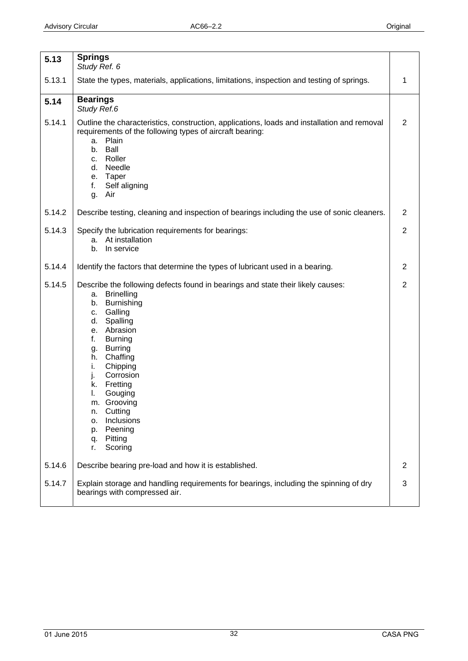<span id="page-31-0"></span>

| 5.13   | <b>Springs</b><br>Study Ref. 6                                                                                                                                                                                                                                                                                                                                                                                                       |                |
|--------|--------------------------------------------------------------------------------------------------------------------------------------------------------------------------------------------------------------------------------------------------------------------------------------------------------------------------------------------------------------------------------------------------------------------------------------|----------------|
| 5.13.1 | State the types, materials, applications, limitations, inspection and testing of springs.                                                                                                                                                                                                                                                                                                                                            | 1              |
| 5.14   | <b>Bearings</b><br>Study Ref.6                                                                                                                                                                                                                                                                                                                                                                                                       |                |
| 5.14.1 | Outline the characteristics, construction, applications, loads and installation and removal<br>requirements of the following types of aircraft bearing:<br>Plain<br>a.<br>Ball<br>b.<br>Roller<br>c.<br>Needle<br>d.<br>e. Taper<br>f.<br>Self aligning<br>Air<br>g.                                                                                                                                                                 | $\overline{2}$ |
| 5.14.2 | Describe testing, cleaning and inspection of bearings including the use of sonic cleaners.                                                                                                                                                                                                                                                                                                                                           | $\overline{2}$ |
| 5.14.3 | Specify the lubrication requirements for bearings:<br>At installation<br>a.<br>In service<br>b.                                                                                                                                                                                                                                                                                                                                      | $\overline{2}$ |
| 5.14.4 | Identify the factors that determine the types of lubricant used in a bearing.                                                                                                                                                                                                                                                                                                                                                        | 2              |
| 5.14.5 | Describe the following defects found in bearings and state their likely causes:<br><b>Brinelling</b><br>a.<br>Burnishing<br>b.<br>Galling<br>c.<br>Spalling<br>d.<br>Abrasion<br>e.<br><b>Burning</b><br>f.<br><b>Burring</b><br>g.<br>Chaffing<br>h.<br>i.<br>Chipping<br>Corrosion<br>j.<br>Fretting<br>k.<br>I.<br>Gouging<br>m. Grooving<br>Cutting<br>n.<br>Inclusions<br>о.<br>Peening<br>p.<br>Pitting<br>q.<br>Scoring<br>r. | $\overline{2}$ |
| 5.14.6 | Describe bearing pre-load and how it is established.                                                                                                                                                                                                                                                                                                                                                                                 | 2              |
| 5.14.7 | Explain storage and handling requirements for bearings, including the spinning of dry<br>bearings with compressed air.                                                                                                                                                                                                                                                                                                               | 3              |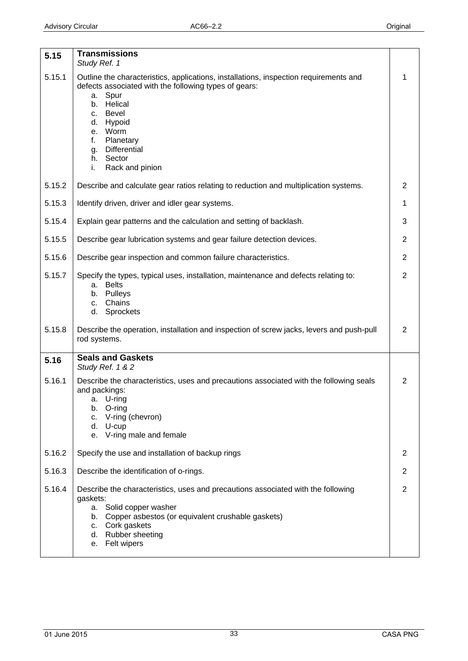<span id="page-32-0"></span>

| 5.15   | <b>Transmissions</b><br>Study Ref. 1                                                                                                                                                                                                                                                                                 |                |
|--------|----------------------------------------------------------------------------------------------------------------------------------------------------------------------------------------------------------------------------------------------------------------------------------------------------------------------|----------------|
| 5.15.1 | Outline the characteristics, applications, installations, inspection requirements and<br>defects associated with the following types of gears:<br>Spur<br>a.<br>Helical<br>b.<br><b>Bevel</b><br>C.<br>Hypoid<br>d.<br>e. Worm<br>f.<br>Planetary<br><b>Differential</b><br>g.<br>h. Sector<br>Rack and pinion<br>i. | 1              |
| 5.15.2 | Describe and calculate gear ratios relating to reduction and multiplication systems.                                                                                                                                                                                                                                 | $\overline{2}$ |
| 5.15.3 | Identify driven, driver and idler gear systems.                                                                                                                                                                                                                                                                      | 1              |
| 5.15.4 | Explain gear patterns and the calculation and setting of backlash.                                                                                                                                                                                                                                                   | 3              |
| 5.15.5 | Describe gear lubrication systems and gear failure detection devices.                                                                                                                                                                                                                                                | $\overline{2}$ |
| 5.15.6 | Describe gear inspection and common failure characteristics.                                                                                                                                                                                                                                                         | $\overline{2}$ |
| 5.15.7 | Specify the types, typical uses, installation, maintenance and defects relating to:<br><b>Belts</b><br>а.<br>Pulleys<br>b.<br>Chains<br>C.<br>d.<br>Sprockets                                                                                                                                                        | $\overline{2}$ |
| 5.15.8 | Describe the operation, installation and inspection of screw jacks, levers and push-pull<br>rod systems.                                                                                                                                                                                                             | $\overline{2}$ |
| 5.16   | <b>Seals and Gaskets</b><br>Study Ref. 1 & 2                                                                                                                                                                                                                                                                         |                |
| 5.16.1 | Describe the characteristics, uses and precautions associated with the following seals<br>and packings:<br>a. U-ring<br>b. O-ring<br>V-ring (chevron)<br>С.<br>d. U-cup<br>e. V-ring male and female                                                                                                                 | $\overline{2}$ |
| 5.16.2 | Specify the use and installation of backup rings                                                                                                                                                                                                                                                                     | 2              |
| 5.16.3 | Describe the identification of o-rings.                                                                                                                                                                                                                                                                              | 2              |
| 5.16.4 | Describe the characteristics, uses and precautions associated with the following<br>gaskets:<br>a. Solid copper washer<br>Copper asbestos (or equivalent crushable gaskets)<br>b.<br>Cork gaskets<br>C.<br>d. Rubber sheeting<br>Felt wipers<br>e.                                                                   | $\overline{2}$ |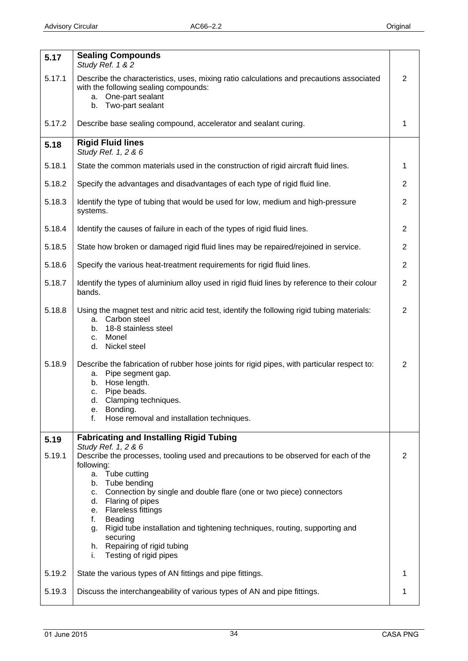<span id="page-33-0"></span>

| 5.17   | <b>Sealing Compounds</b><br>Study Ref. 1 & 2                                                                                                                                                                                                                                                                                                                     |                |
|--------|------------------------------------------------------------------------------------------------------------------------------------------------------------------------------------------------------------------------------------------------------------------------------------------------------------------------------------------------------------------|----------------|
| 5.17.1 | Describe the characteristics, uses, mixing ratio calculations and precautions associated<br>with the following sealing compounds:<br>One-part sealant<br>а.<br>Two-part sealant<br>b.                                                                                                                                                                            | $\overline{2}$ |
| 5.17.2 | Describe base sealing compound, accelerator and sealant curing.                                                                                                                                                                                                                                                                                                  | 1              |
| 5.18   | <b>Rigid Fluid lines</b><br>Study Ref. 1, 2 & 6                                                                                                                                                                                                                                                                                                                  |                |
| 5.18.1 | State the common materials used in the construction of rigid aircraft fluid lines.                                                                                                                                                                                                                                                                               | 1              |
| 5.18.2 | Specify the advantages and disadvantages of each type of rigid fluid line.                                                                                                                                                                                                                                                                                       | $\overline{2}$ |
| 5.18.3 | Identify the type of tubing that would be used for low, medium and high-pressure<br>systems.                                                                                                                                                                                                                                                                     | $\overline{2}$ |
| 5.18.4 | Identify the causes of failure in each of the types of rigid fluid lines.                                                                                                                                                                                                                                                                                        | $\overline{2}$ |
| 5.18.5 | State how broken or damaged rigid fluid lines may be repaired/rejoined in service.                                                                                                                                                                                                                                                                               | $\overline{2}$ |
| 5.18.6 | Specify the various heat-treatment requirements for rigid fluid lines.                                                                                                                                                                                                                                                                                           | $\overline{2}$ |
| 5.18.7 | Identify the types of aluminium alloy used in rigid fluid lines by reference to their colour<br>bands.                                                                                                                                                                                                                                                           | $\overline{2}$ |
| 5.18.8 | Using the magnet test and nitric acid test, identify the following rigid tubing materials:<br>Carbon steel<br>a.<br>18-8 stainless steel<br>b.<br>Monel<br>c.<br>d.<br>Nickel steel                                                                                                                                                                              | $\overline{2}$ |
| 5.18.9 | Describe the fabrication of rubber hose joints for rigid pipes, with particular respect to:<br>Pipe segment gap.<br>a.<br>Hose length.<br>b.<br>Pipe beads.<br>c.<br>Clamping techniques.<br>d.<br>Bonding.<br>е.<br>Hose removal and installation techniques.<br>f.                                                                                             | 2              |
| 5.19   | <b>Fabricating and Installing Rigid Tubing</b><br>Study Ref. 1, 2 & 6                                                                                                                                                                                                                                                                                            |                |
| 5.19.1 | Describe the processes, tooling used and precautions to be observed for each of the<br>following:                                                                                                                                                                                                                                                                | 2              |
|        | a. Tube cutting<br>Tube bending<br>b.<br>Connection by single and double flare (one or two piece) connectors<br>C.<br>Flaring of pipes<br>d.<br><b>Flareless fittings</b><br>e.<br>f.<br>Beading<br>Rigid tube installation and tightening techniques, routing, supporting and<br>g.<br>securing<br>h. Repairing of rigid tubing<br>Testing of rigid pipes<br>i. |                |
| 5.19.2 | State the various types of AN fittings and pipe fittings.                                                                                                                                                                                                                                                                                                        | 1              |
| 5.19.3 | Discuss the interchangeability of various types of AN and pipe fittings.                                                                                                                                                                                                                                                                                         | 1              |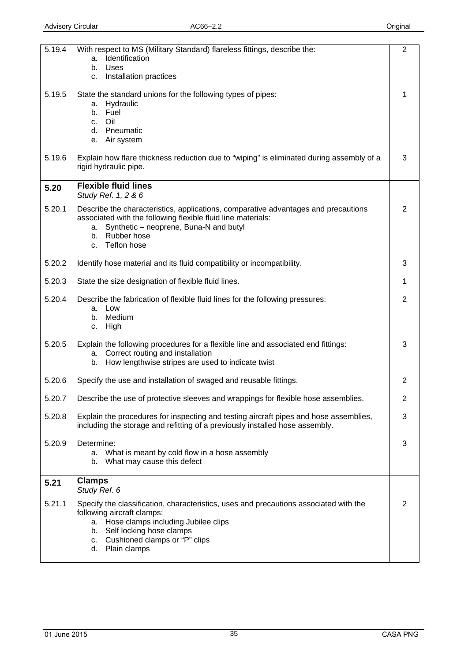<span id="page-34-0"></span>

| 5.19.4 | With respect to MS (Military Standard) flareless fittings, describe the:                       | 2              |
|--------|------------------------------------------------------------------------------------------------|----------------|
|        | Identification<br>a.<br>Uses<br>b.                                                             |                |
|        | Installation practices<br>C.                                                                   |                |
|        |                                                                                                |                |
| 5.19.5 | State the standard unions for the following types of pipes:                                    | 1              |
|        | Hydraulic<br>a.<br>b. Fuel                                                                     |                |
|        | Oil<br>C <sub>1</sub>                                                                          |                |
|        | d. Pneumatic                                                                                   |                |
|        | e. Air system                                                                                  |                |
| 5.19.6 | Explain how flare thickness reduction due to "wiping" is eliminated during assembly of a       | 3              |
|        | rigid hydraulic pipe.                                                                          |                |
|        | <b>Flexible fluid lines</b>                                                                    |                |
| 5.20   | Study Ref. 1, 2 & 6                                                                            |                |
| 5.20.1 | Describe the characteristics, applications, comparative advantages and precautions             | 2              |
|        | associated with the following flexible fluid line materials:                                   |                |
|        | Synthetic - neoprene, Buna-N and butyl<br>а.<br>b. Rubber hose                                 |                |
|        | Teflon hose<br>C.                                                                              |                |
|        |                                                                                                |                |
| 5.20.2 | Identify hose material and its fluid compatibility or incompatibility.                         | 3              |
| 5.20.3 | State the size designation of flexible fluid lines.                                            | 1              |
| 5.20.4 | Describe the fabrication of flexible fluid lines for the following pressures:                  | $\overline{2}$ |
|        | a. Low<br>b. Medium                                                                            |                |
|        | High<br>C.                                                                                     |                |
|        |                                                                                                |                |
| 5.20.5 | Explain the following procedures for a flexible line and associated end fittings:              | 3              |
|        | a. Correct routing and installation<br>How lengthwise stripes are used to indicate twist<br>b. |                |
| 5.20.6 |                                                                                                | 2              |
|        | Specify the use and installation of swaged and reusable fittings.                              |                |
| 5.20.7 | Describe the use of protective sleeves and wrappings for flexible hose assemblies.             | 2              |
| 5.20.8 | Explain the procedures for inspecting and testing aircraft pipes and hose assemblies,          | 3              |
|        | including the storage and refitting of a previously installed hose assembly.                   |                |
| 5.20.9 | Determine:                                                                                     | 3              |
|        | a. What is meant by cold flow in a hose assembly                                               |                |
|        | What may cause this defect<br>b.                                                               |                |
|        | <b>Clamps</b>                                                                                  |                |
| 5.21   | Study Ref. 6                                                                                   |                |
| 5.21.1 | Specify the classification, characteristics, uses and precautions associated with the          | 2              |
|        | following aircraft clamps:                                                                     |                |
|        | a. Hose clamps including Jubilee clips                                                         |                |
|        | b. Self locking hose clamps<br>c. Cushioned clamps or "P" clips                                |                |
|        | Plain clamps<br>d.                                                                             |                |
|        |                                                                                                |                |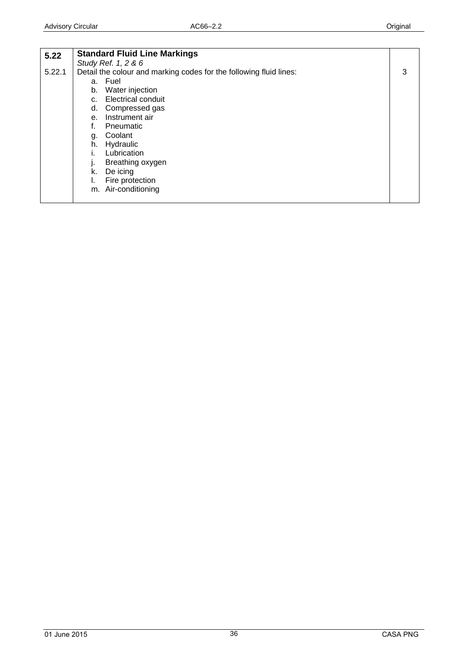<span id="page-35-0"></span>

| 5.22   | <b>Standard Fluid Line Markings</b>                                |   |
|--------|--------------------------------------------------------------------|---|
|        | Study Ref. 1, 2 & 6                                                |   |
| 5.22.1 | Detail the colour and marking codes for the following fluid lines: | 3 |
|        | a. Fuel                                                            |   |
|        | Water injection<br>b.                                              |   |
|        | <b>Electrical conduit</b><br>C.                                    |   |
|        | Compressed gas<br>d.                                               |   |
|        | Instrument air<br>e.                                               |   |
|        | Pneumatic                                                          |   |
|        | Coolant<br>g.                                                      |   |
|        | Hydraulic<br>h.                                                    |   |
|        | Lubrication                                                        |   |
|        | Breathing oxygen                                                   |   |
|        | De icing<br>k.                                                     |   |
|        | Fire protection                                                    |   |
|        | m. Air-conditioning                                                |   |
|        |                                                                    |   |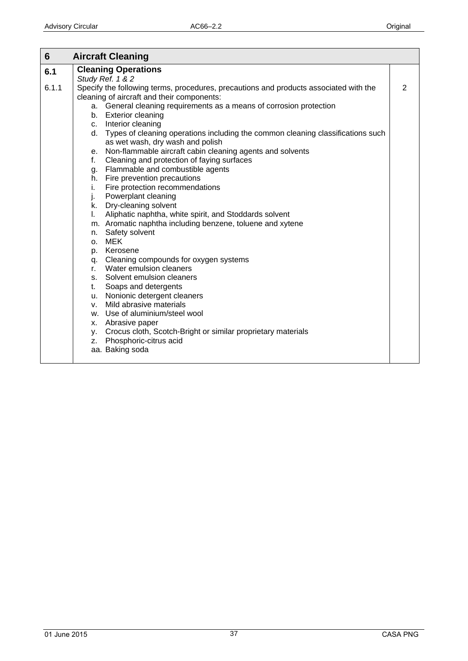<span id="page-36-0"></span>

| 6     | <b>Aircraft Cleaning</b>                                                              |   |
|-------|---------------------------------------------------------------------------------------|---|
| 6.1   | <b>Cleaning Operations</b>                                                            |   |
|       | Study Ref. 1 & 2                                                                      |   |
| 6.1.1 | Specify the following terms, procedures, precautions and products associated with the | 2 |
|       | cleaning of aircraft and their components:                                            |   |
|       | a. General cleaning requirements as a means of corrosion protection                   |   |
|       | b. Exterior cleaning                                                                  |   |
|       | c. Interior cleaning                                                                  |   |
|       | d. Types of cleaning operations including the common cleaning classifications such    |   |
|       | as wet wash, dry wash and polish                                                      |   |
|       | e. Non-flammable aircraft cabin cleaning agents and solvents                          |   |
|       | f. Cleaning and protection of faying surfaces                                         |   |
|       | g. Flammable and combustible agents                                                   |   |
|       | h. Fire prevention precautions                                                        |   |
|       | i.<br>Fire protection recommendations                                                 |   |
|       | j. Powerplant cleaning                                                                |   |
|       | k. Dry-cleaning solvent                                                               |   |
|       | I. Aliphatic naphtha, white spirit, and Stoddards solvent                             |   |
|       | m. Aromatic naphtha including benzene, toluene and xytene                             |   |
|       | n. Safety solvent                                                                     |   |
|       | o. MEK                                                                                |   |
|       | p. Kerosene                                                                           |   |
|       | q. Cleaning compounds for oxygen systems                                              |   |
|       | r. Water emulsion cleaners                                                            |   |
|       | s. Solvent emulsion cleaners                                                          |   |
|       | t. Soaps and detergents                                                               |   |
|       | u. Nonionic detergent cleaners                                                        |   |
|       | Mild abrasive materials<br>$V_{\rm{H}}$                                               |   |
|       | w. Use of aluminium/steel wool                                                        |   |
|       | x. Abrasive paper                                                                     |   |
|       | y. Crocus cloth, Scotch-Bright or similar proprietary materials                       |   |
|       | z. Phosphoric-citrus acid                                                             |   |
|       | aa. Baking soda                                                                       |   |
|       |                                                                                       |   |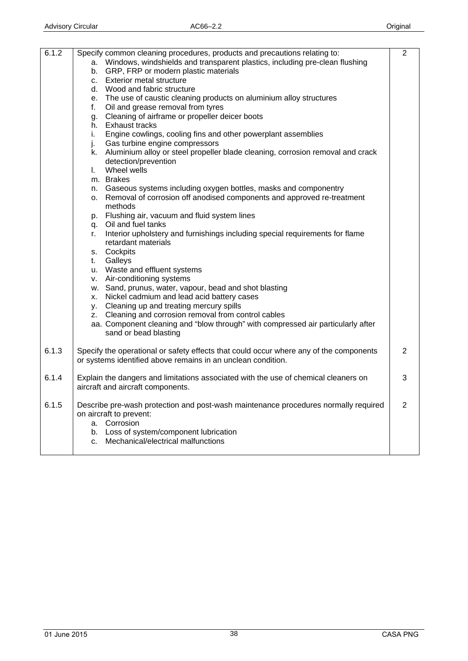| 6.1.2 | Specify common cleaning procedures, products and precautions relating to:<br>a. Windows, windshields and transparent plastics, including pre-clean flushing<br>b. GRP, FRP or modern plastic materials<br>c. Exterior metal structure<br>d. Wood and fabric structure<br>e. The use of caustic cleaning products on aluminium alloy structures<br>f.<br>Oil and grease removal from tyres<br>g. Cleaning of airframe or propeller deicer boots<br>Exhaust tracks<br>h.<br>Engine cowlings, cooling fins and other powerplant assemblies<br>i.<br>Gas turbine engine compressors<br>j.<br>k. Aluminium alloy or steel propeller blade cleaning, corrosion removal and crack<br>detection/prevention<br>Wheel wells<br>$\mathbf{L}$<br>m. Brakes<br>n. Gaseous systems including oxygen bottles, masks and componentry<br>Removal of corrosion off anodised components and approved re-treatment<br>0. | 2              |
|-------|------------------------------------------------------------------------------------------------------------------------------------------------------------------------------------------------------------------------------------------------------------------------------------------------------------------------------------------------------------------------------------------------------------------------------------------------------------------------------------------------------------------------------------------------------------------------------------------------------------------------------------------------------------------------------------------------------------------------------------------------------------------------------------------------------------------------------------------------------------------------------------------------------|----------------|
|       | methods<br>p. Flushing air, vacuum and fluid system lines<br>q. Oil and fuel tanks<br>Interior upholstery and furnishings including special requirements for flame<br>r.                                                                                                                                                                                                                                                                                                                                                                                                                                                                                                                                                                                                                                                                                                                             |                |
|       | retardant materials<br>s. Cockpits<br>Galleys<br>t.<br>u. Waste and effluent systems                                                                                                                                                                                                                                                                                                                                                                                                                                                                                                                                                                                                                                                                                                                                                                                                                 |                |
|       | v. Air-conditioning systems<br>w. Sand, prunus, water, vapour, bead and shot blasting<br>Nickel cadmium and lead acid battery cases<br>X.<br>y. Cleaning up and treating mercury spills<br>z. Cleaning and corrosion removal from control cables<br>aa. Component cleaning and "blow through" with compressed air particularly after<br>sand or bead blasting                                                                                                                                                                                                                                                                                                                                                                                                                                                                                                                                        |                |
| 6.1.3 | Specify the operational or safety effects that could occur where any of the components<br>or systems identified above remains in an unclean condition.                                                                                                                                                                                                                                                                                                                                                                                                                                                                                                                                                                                                                                                                                                                                               | 2              |
| 6.1.4 | Explain the dangers and limitations associated with the use of chemical cleaners on<br>aircraft and aircraft components.                                                                                                                                                                                                                                                                                                                                                                                                                                                                                                                                                                                                                                                                                                                                                                             | 3              |
| 6.1.5 | Describe pre-wash protection and post-wash maintenance procedures normally required<br>on aircraft to prevent:<br>a. Corrosion<br>Loss of system/component lubrication<br>b.<br>Mechanical/electrical malfunctions<br>C.                                                                                                                                                                                                                                                                                                                                                                                                                                                                                                                                                                                                                                                                             | $\overline{2}$ |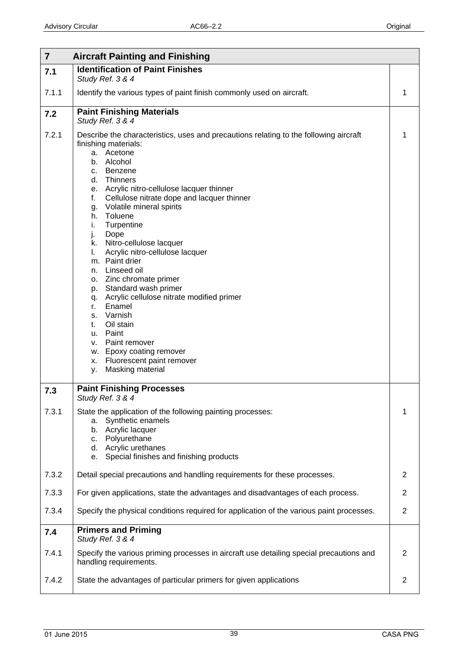<span id="page-38-0"></span>

| $\overline{7}$ | <b>Aircraft Painting and Finishing</b>                                                                                                                                                                                                                                                                                                                                                                                                                                                                                                                                                                                                                                                                                                                                        |                |
|----------------|-------------------------------------------------------------------------------------------------------------------------------------------------------------------------------------------------------------------------------------------------------------------------------------------------------------------------------------------------------------------------------------------------------------------------------------------------------------------------------------------------------------------------------------------------------------------------------------------------------------------------------------------------------------------------------------------------------------------------------------------------------------------------------|----------------|
| 7.1            | <b>Identification of Paint Finishes</b><br>Study Ref. 3 & 4                                                                                                                                                                                                                                                                                                                                                                                                                                                                                                                                                                                                                                                                                                                   |                |
| 7.1.1          | Identify the various types of paint finish commonly used on aircraft.                                                                                                                                                                                                                                                                                                                                                                                                                                                                                                                                                                                                                                                                                                         | 1              |
| 7.2            | <b>Paint Finishing Materials</b><br>Study Ref. 3 & 4                                                                                                                                                                                                                                                                                                                                                                                                                                                                                                                                                                                                                                                                                                                          |                |
| 7.2.1          | Describe the characteristics, uses and precautions relating to the following aircraft<br>finishing materials:<br>a. Acetone<br>Alcohol<br>b.<br>c. Benzene<br>d. Thinners<br>e. Acrylic nitro-cellulose lacquer thinner<br>Cellulose nitrate dope and lacquer thinner<br>f.<br>Volatile mineral spirits<br>g.<br>Toluene<br>h.<br>Turpentine<br>i.<br>Dope<br>j.<br>Nitro-cellulose lacquer<br>k.<br>I.<br>Acrylic nitro-cellulose lacquer<br>m. Paint drier<br>n. Linseed oil<br>o. Zinc chromate primer<br>Standard wash primer<br>p.<br>Acrylic cellulose nitrate modified primer<br>q.<br>Enamel<br>r.<br>Varnish<br>s.<br>Oil stain<br>t.<br>Paint<br>u.<br>Paint remover<br>v.<br>w. Epoxy coating remover<br>Fluorescent paint remover<br>х.<br>Masking material<br>у. | 1              |
| 7.3            | <b>Paint Finishing Processes</b><br>Study Ref. 3 & 4                                                                                                                                                                                                                                                                                                                                                                                                                                                                                                                                                                                                                                                                                                                          |                |
| 7.3.1          | State the application of the following painting processes:<br>Synthetic enamels<br>a.<br>Acrylic lacquer<br>b.<br>Polyurethane<br>C.<br>d. Acrylic urethanes<br>Special finishes and finishing products<br>е.                                                                                                                                                                                                                                                                                                                                                                                                                                                                                                                                                                 | 1              |
| 7.3.2          | Detail special precautions and handling requirements for these processes.                                                                                                                                                                                                                                                                                                                                                                                                                                                                                                                                                                                                                                                                                                     | 2              |
| 7.3.3          | For given applications, state the advantages and disadvantages of each process.                                                                                                                                                                                                                                                                                                                                                                                                                                                                                                                                                                                                                                                                                               | $\overline{2}$ |
| 7.3.4          | Specify the physical conditions required for application of the various paint processes.                                                                                                                                                                                                                                                                                                                                                                                                                                                                                                                                                                                                                                                                                      | $\overline{2}$ |
| 7.4            | <b>Primers and Priming</b><br>Study Ref. 3 & 4                                                                                                                                                                                                                                                                                                                                                                                                                                                                                                                                                                                                                                                                                                                                |                |
| 7.4.1          | Specify the various priming processes in aircraft use detailing special precautions and<br>handling requirements.                                                                                                                                                                                                                                                                                                                                                                                                                                                                                                                                                                                                                                                             | $\overline{2}$ |
| 7.4.2          | State the advantages of particular primers for given applications                                                                                                                                                                                                                                                                                                                                                                                                                                                                                                                                                                                                                                                                                                             | $\overline{2}$ |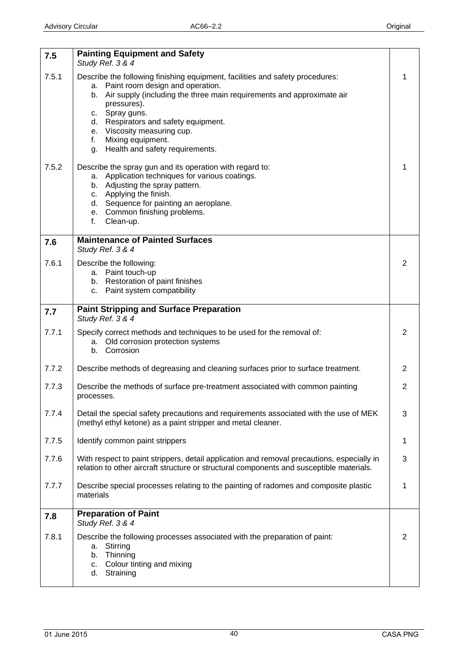<span id="page-39-0"></span>

| 7.5   | <b>Painting Equipment and Safety</b><br>Study Ref. 3 & 4                                                                                                                                                                                                                                                                                                                        |                |
|-------|---------------------------------------------------------------------------------------------------------------------------------------------------------------------------------------------------------------------------------------------------------------------------------------------------------------------------------------------------------------------------------|----------------|
| 7.5.1 | Describe the following finishing equipment, facilities and safety procedures:<br>Paint room design and operation.<br>а.<br>Air supply (including the three main requirements and approximate air<br>b.<br>pressures).<br>c. Spray guns.<br>d. Respirators and safety equipment.<br>e. Viscosity measuring cup.<br>Mixing equipment.<br>f.<br>g. Health and safety requirements. | 1              |
| 7.5.2 | Describe the spray gun and its operation with regard to:<br>a. Application techniques for various coatings.<br>b. Adjusting the spray pattern.<br>c. Applying the finish.<br>d. Sequence for painting an aeroplane.<br>e. Common finishing problems.<br>Clean-up.<br>f.                                                                                                         | 1              |
| 7.6   | <b>Maintenance of Painted Surfaces</b><br>Study Ref. 3 & 4                                                                                                                                                                                                                                                                                                                      |                |
| 7.6.1 | Describe the following:<br>a. Paint touch-up<br>b. Restoration of paint finishes<br>c. Paint system compatibility                                                                                                                                                                                                                                                               | 2              |
| 7.7   | <b>Paint Stripping and Surface Preparation</b><br>Study Ref. 3 & 4                                                                                                                                                                                                                                                                                                              |                |
| 7.7.1 | Specify correct methods and techniques to be used for the removal of:<br>a. Old corrosion protection systems<br>Corrosion<br>b.                                                                                                                                                                                                                                                 | $\overline{2}$ |
| 7.7.2 | Describe methods of degreasing and cleaning surfaces prior to surface treatment.                                                                                                                                                                                                                                                                                                | $\mathbf{2}$   |
| 7.7.3 | Describe the methods of surface pre-treatment associated with common painting<br>processes.                                                                                                                                                                                                                                                                                     | $\overline{2}$ |
| 7.7.4 | Detail the special safety precautions and requirements associated with the use of MEK<br>(methyl ethyl ketone) as a paint stripper and metal cleaner.                                                                                                                                                                                                                           | 3              |
| 7.7.5 | Identify common paint strippers                                                                                                                                                                                                                                                                                                                                                 | 1              |
| 7.7.6 | With respect to paint strippers, detail application and removal precautions, especially in<br>relation to other aircraft structure or structural components and susceptible materials.                                                                                                                                                                                          | 3              |
| 7.7.7 | Describe special processes relating to the painting of radomes and composite plastic<br>materials                                                                                                                                                                                                                                                                               | 1              |
| 7.8   | <b>Preparation of Paint</b><br>Study Ref. 3 & 4                                                                                                                                                                                                                                                                                                                                 |                |
| 7.8.1 | Describe the following processes associated with the preparation of paint:<br>Stirring<br>a.<br>Thinning<br>b.<br>Colour tinting and mixing<br>c.<br>Straining<br>d.                                                                                                                                                                                                            | $\overline{2}$ |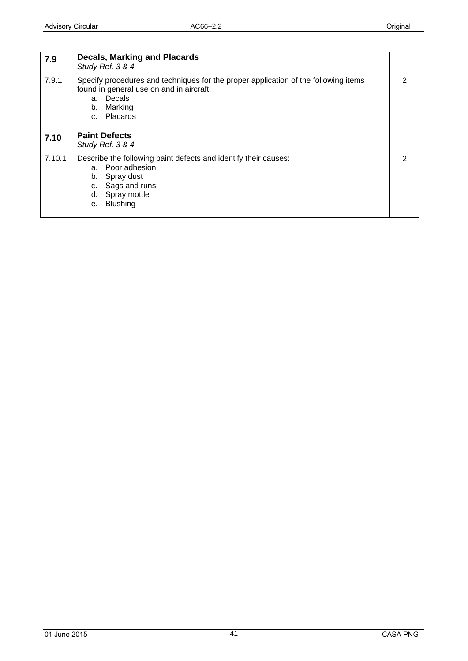<span id="page-40-0"></span>

| 7.9    | <b>Decals, Marking and Placards</b><br>Study Ref. 3 & 4                                                                                                                    |  |
|--------|----------------------------------------------------------------------------------------------------------------------------------------------------------------------------|--|
| 7.9.1  | Specify procedures and techniques for the proper application of the following items<br>found in general use on and in aircraft:<br>a. Decals<br>b. Marking<br>c. Placards  |  |
| 7.10   | <b>Paint Defects</b><br>Study Ref. 3 & 4                                                                                                                                   |  |
| 7.10.1 | Describe the following paint defects and identify their causes:<br>a. Poor adhesion<br>Spray dust<br>b.<br>Sags and runs<br>C.<br>d. Spray mottle<br><b>Blushing</b><br>е. |  |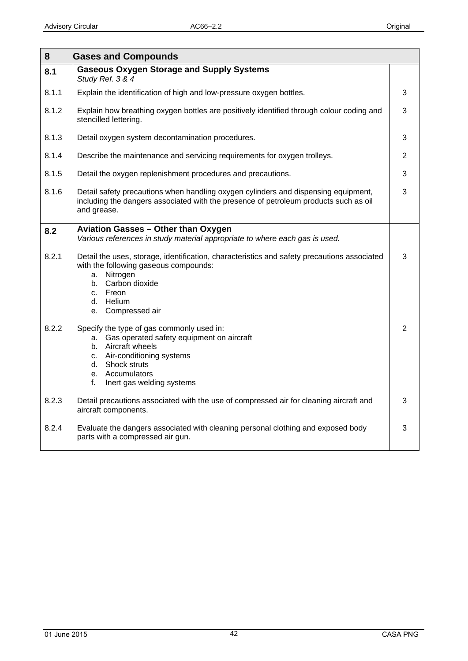<span id="page-41-0"></span>

| 8<br><b>Gases and Compounds</b> |                                                                                                                                                                                                                         |                |
|---------------------------------|-------------------------------------------------------------------------------------------------------------------------------------------------------------------------------------------------------------------------|----------------|
| 8.1                             | <b>Gaseous Oxygen Storage and Supply Systems</b><br>Study Ref. 3 & 4                                                                                                                                                    |                |
| 8.1.1                           | Explain the identification of high and low-pressure oxygen bottles.                                                                                                                                                     | 3              |
| 8.1.2                           | Explain how breathing oxygen bottles are positively identified through colour coding and<br>stencilled lettering.                                                                                                       | 3              |
| 8.1.3                           | Detail oxygen system decontamination procedures.                                                                                                                                                                        | 3              |
| 8.1.4                           | Describe the maintenance and servicing requirements for oxygen trolleys.                                                                                                                                                | $\overline{2}$ |
| 8.1.5                           | Detail the oxygen replenishment procedures and precautions.                                                                                                                                                             | 3              |
| 8.1.6                           | Detail safety precautions when handling oxygen cylinders and dispensing equipment,<br>including the dangers associated with the presence of petroleum products such as oil<br>and grease.                               | 3              |
| 8.2                             | Aviation Gasses - Other than Oxygen<br>Various references in study material appropriate to where each gas is used.                                                                                                      |                |
| 8.2.1                           | Detail the uses, storage, identification, characteristics and safety precautions associated<br>with the following gaseous compounds:<br>a. Nitrogen<br>b. Carbon dioxide<br>c. Freon<br>d. Helium<br>e. Compressed air  | 3              |
| 8.2.2                           | Specify the type of gas commonly used in:<br>a. Gas operated safety equipment on aircraft<br>b. Aircraft wheels<br>c. Air-conditioning systems<br>d. Shock struts<br>e. Accumulators<br>f.<br>Inert gas welding systems | $\overline{2}$ |
| 8.2.3                           | Detail precautions associated with the use of compressed air for cleaning aircraft and<br>aircraft components.                                                                                                          | 3              |
| 8.2.4                           | Evaluate the dangers associated with cleaning personal clothing and exposed body<br>parts with a compressed air gun.                                                                                                    | 3              |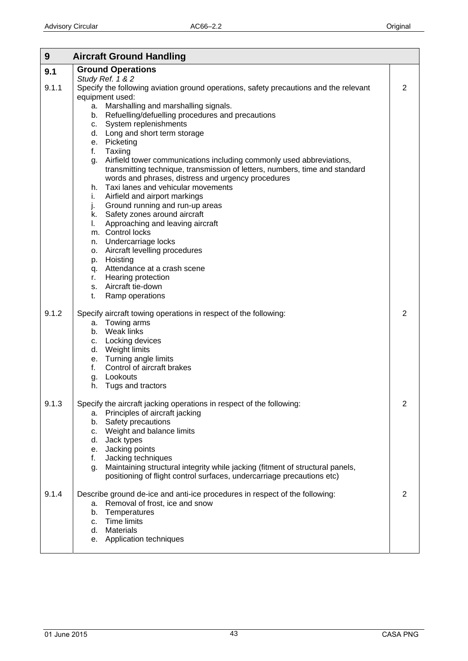<span id="page-42-0"></span>

| 9     | <b>Aircraft Ground Handling</b>                                                                                                                                                                                |                |
|-------|----------------------------------------------------------------------------------------------------------------------------------------------------------------------------------------------------------------|----------------|
| 9.1   | <b>Ground Operations</b>                                                                                                                                                                                       |                |
| 9.1.1 | Study Ref. 1 & 2<br>Specify the following aviation ground operations, safety precautions and the relevant<br>equipment used:                                                                                   | $\overline{2}$ |
|       | a. Marshalling and marshalling signals.<br>b. Refuelling/defuelling procedures and precautions<br>c. System replenishments                                                                                     |                |
|       | d. Long and short term storage<br>e. Picketing<br>f. Taxiing                                                                                                                                                   |                |
|       | g. Airfield tower communications including commonly used abbreviations,<br>transmitting technique, transmission of letters, numbers, time and standard<br>words and phrases, distress and urgency procedures   |                |
|       | Taxi lanes and vehicular movements<br>h.<br>Airfield and airport markings<br>i.<br>j.<br>Ground running and run-up areas                                                                                       |                |
|       | k. Safety zones around aircraft<br>Approaching and leaving aircraft<br>I.<br>m. Control locks                                                                                                                  |                |
|       | n. Undercarriage locks<br>o. Aircraft levelling procedures                                                                                                                                                     |                |
|       | p. Hoisting<br>q. Attendance at a crash scene<br>r. Hearing protection                                                                                                                                         |                |
|       | s. Aircraft tie-down<br>Ramp operations<br>t.                                                                                                                                                                  |                |
| 9.1.2 | Specify aircraft towing operations in respect of the following:<br>a. Towing arms<br>b. Weak links                                                                                                             | $\overline{2}$ |
|       | c. Locking devices<br>d. Weight limits<br>e. Turning angle limits                                                                                                                                              |                |
|       | Control of aircraft brakes<br>f.<br>g. Lookouts<br>Tugs and tractors<br>h.                                                                                                                                     |                |
| 9.1.3 | Specify the aircraft jacking operations in respect of the following:<br>Principles of aircraft jacking<br>а.<br>Safety precautions<br>b.<br>c. Weight and balance limits<br>d. Jack types                      | $\overline{2}$ |
|       | e. Jacking points<br>Jacking techniques<br>f.<br>Maintaining structural integrity while jacking (fitment of structural panels,<br>g.<br>positioning of flight control surfaces, undercarriage precautions etc) |                |
| 9.1.4 | Describe ground de-ice and anti-ice procedures in respect of the following:<br>Removal of frost, ice and snow<br>а.<br>Temperatures<br>b.<br>c. Time limits                                                    | 2              |
|       | d. Materials<br>e. Application techniques                                                                                                                                                                      |                |